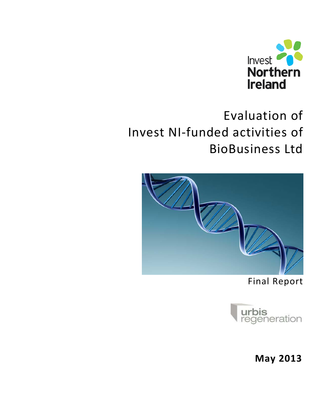

# Evaluation of Invest NI-funded activities of BioBusiness Ltd



Final Report



**May 2013**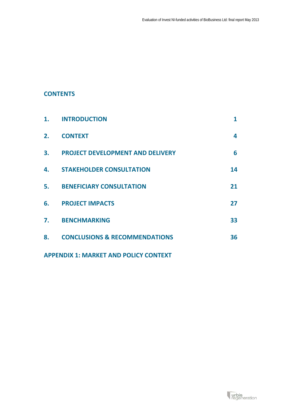# **CONTENTS**

| 1. | <b>INTRODUCTION</b>                      |    |
|----|------------------------------------------|----|
| 2. | <b>CONTEXT</b>                           | 4  |
| 3. | <b>PROJECT DEVELOPMENT AND DELIVERY</b>  | 6  |
| 4. | <b>STAKEHOLDER CONSULTATION</b>          | 14 |
| 5. | <b>BENEFICIARY CONSULTATION</b>          | 21 |
| 6. | <b>PROJECT IMPACTS</b>                   | 27 |
| 7. | <b>BENCHMARKING</b>                      | 33 |
| 8. | <b>CONCLUSIONS &amp; RECOMMENDATIONS</b> | 36 |
|    |                                          |    |

**APPENDIX 1: MARKET AND POLICY CONTEXT**

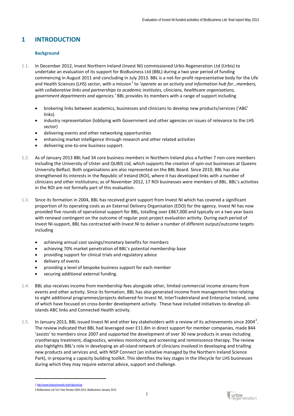# **1 INTRODUCTION**

# **Background**

- 1.1. In December 2012, Invest Northern Ireland (Invest NI) commissioned Urbis Regeneration Ltd (Urbis) to undertake an evaluation of its support for BioBusiness Ltd (BBL) during a two year period of funding commencing in August 2011 and concluding in July 2013. BBL is a not-for-profit representative body for the Life and Health Sciences (LHS) sector, with a mission<sup>[1](#page-2-0)</sup> to 'operate as an activity and information hub for...members, *with collaborative links and partnerships to academic institutes, clinicians, healthcare organisations, government departments and agencies.'* BBL provides its members with a range of support including
	- brokering links between academics, businesses and clinicians to develop new products/services ('ABC' links)
	- industry representation (lobbying with Government and other agencies on issues of relevance to the LHS sector)
	- delivering events and other networking opportunities
	- enhancing market intelligence through research and other related activities
	- delivering one-to-one business support.
- 1.2. As of January 2013 BBL had 34 core business members in Northern Ireland plus a further 7 non-core members including the University of Ulster and QUBIS Ltd, which supports the creation of spin-out businesses at Queens University Belfast. Both organisations are also represented on the BBL Board. Since 2010, BBL has also strengthened its interests in the Republic of Ireland (ROI), where it has developed links with a number of clinicians and other institutions; as of November 2012, 17 ROI businesses were members of BBL. BBL's activities in the ROI are not formally part of this evaluation.
- 1.3. Since its formation in 2004, BBL has received grant support from Invest NI which has covered a significant proportion of its operating costs as an External Delivery Organisation (EDO) for the agency. Invest NI has now provided five rounds of operational support for BBL, totalling over £867,000 and typically on a two year basis with renewal contingent on the outcome of regular post-project evaluation activity. During each period of Invest NI-support, BBL has contracted with Invest NI to deliver a number of different output/outcome targets including
	- achieving annual cost savings/monetary benefits for members
	- achieving 70% market penetration of BBL's potential membership base
	- providing support for clinical trials and regulatory advice
	- delivery of events
	- providing a level of bespoke business support for each member
	- securing additional external funding.
- 1.4. BBL also receives income from membership fees alongside other, limited commercial income streams from events and other activity. Since its formation, BBL has also generated income from management fees relating to eight additional programmes/projects delivered for Invest NI, InterTradeIreland and Enterprise Ireland, some of which have focused on cross-border development activity. These have included initiatives to develop allislands ABC links and Connected Health activity.
- 1.5. In January [2](#page-2-1)013, BBL issued Invest NI and other key stakeholders with a review of its achievements since 2004<sup>2</sup>. The review indicated that BBL had leveraged over £11.8m in direct support for member companies, made 844 'assists' to members since 2007 and supported the development of over 30 new products in areas including cryotherapy treatment, diagnostics, wireless monitoring and screening and reminiscence therapy. The review also highlights BBL's role in developing an all-island network of clinicians involved in developing and trialling new products and services and, with NISP Connect (an initiative managed by the Northern Ireland Science Park), in preparing a capacity building toolkit. This identifies the key stages in the lifecycle for LHS businesses during which they may require external advice, support and challenge.

<span id="page-2-0"></span><sup>1</sup> <http://www.biobusinessltd.org/#!about/cipy>

<span id="page-2-1"></span><sup>2</sup> BioBusiness Ltd Ten Year Review 2004-2013, BioBusiness January 2013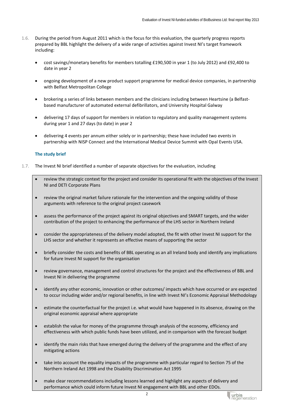- 1.6. During the period from August 2011 which is the focus for this evaluation, the quarterly progress reports prepared by BBL highlight the delivery of a wide range of activities against Invest NI's target framework including:
	- cost savings/monetary benefits for members totalling £190,500 in year 1 (to July 2012) and £92,400 to date in year 2
	- ongoing development of a new product support programme for medical device companies, in partnership with Belfast Metropolitan College
	- brokering a series of links between members and the clinicians including between Heartsine (a Belfastbased manufacturer of automated external defibrillators, and University Hospital Galway
	- delivering 17 days of support for members in relation to regulatory and quality management systems during year 1 and 27 days (to date) in year 2
	- delivering 4 events per annum either solely or in partnership; these have included two events in partnership with NISP Connect and the International Medical Device Summit with Opal Events USA.

# **The study brief**

- 1.7. The Invest NI brief identified a number of separate objectives for the evaluation, including
	- review the strategic context for the project and consider its operational fit with the objectives of the Invest NI and DETI Corporate Plans
	- review the original market failure rationale for the intervention and the ongoing validity of those arguments with reference to the original project casework
	- assess the performance of the project against its original objectives and SMART targets, and the wider contribution of the project to enhancing the performance of the LHS sector in Northern Ireland
	- consider the appropriateness of the delivery model adopted, the fit with other Invest NI support for the LHS sector and whether it represents an effective means of supporting the sector
	- briefly consider the costs and benefits of BBL operating as an all Ireland body and identify any implications for future Invest NI support for the organisation
	- review governance, management and control structures for the project and the effectiveness of BBL and Invest NI in delivering the programme
	- identify any other economic, innovation or other outcomes/ impacts which have occurred or are expected to occur including wider and/or regional benefits, in line with Invest NI's Economic Appraisal Methodology
	- estimate the counterfactual for the project i.e. what would have happened in its absence, drawing on the original economic appraisal where appropriate
	- establish the value for money of the programme through analysis of the economy, efficiency and effectiveness with which public funds have been utilized, and in comparison with the forecast budget
	- identify the main risks that have emerged during the delivery of the programme and the effect of any mitigating actions
	- take into account the equality impacts of the programme with particular regard to Section 75 of the Northern Ireland Act 1998 and the Disability Discrimination Act 1995
	- make clear recommendations including lessons learned and highlight any aspects of delivery and performance which could inform future Invest NI engagement with BBL and other EDOs.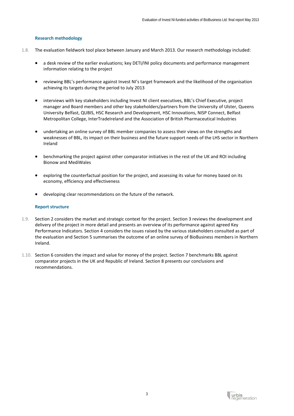# **Research methodology**

- 1.8. The evaluation fieldwork tool place between January and March 2013. Our research methodology included:
	- a desk review of the earlier evaluations; key DETI/INI policy documents and performance management information relating to the project
	- reviewing BBL's performance against Invest NI's target framework and the likelihood of the organisation achieving its targets during the period to July 2013
	- interviews with key stakeholders including Invest NI client executives, BBL's Chief Executive, project manager and Board members and other key stakeholders/partners from the University of Ulster, Queens University Belfast, QUBIS, HSC Research and Development, HSC Innovations, NISP Connect, Belfast Metropolitan College, InterTradeIreland and the Association of British Pharmaceutical Industries
	- undertaking an online survey of BBL member companies to assess their views on the strengths and weaknesses of BBL, its impact on their business and the future support needs of the LHS sector in Northern Ireland
	- benchmarking the project against other comparator initiatives in the rest of the UK and ROI including Bionow and MediWales
	- exploring the counterfactual position for the project, and assessing its value for money based on its economy, efficiency and effectiveness
	- developing clear recommendations on the future of the network.

#### **Report structure**

- 1.9. Section 2 considers the market and strategic context for the project. Section 3 reviews the development and delivery of the project in more detail and presents an overview of its performance against agreed Key Performance Indicators. Section 4 considers the issues raised by the various stakeholders consulted as part of the evaluation and Section 5 summarises the outcome of an online survey of BioBusiness members in Northern Ireland.
- 1.10. Section 6 considers the impact and value for money of the project. Section 7 benchmarks BBL against comparator projects in the UK and Republic of Ireland. Section 8 presents our conclusions and recommendations.

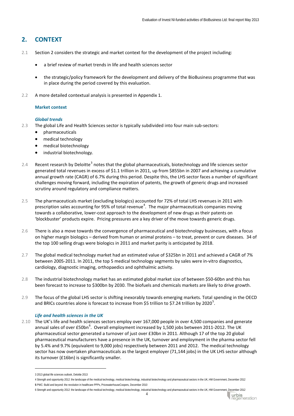# **2. CONTEXT**

- 2.1 Section 2 considers the strategic and market context for the development of the project including:
	- a brief review of market trends in life and health sciences sector
	- the strategic/policy framework for the development and delivery of the BioBusiness programme that was in place during the period covered by this evaluation.
- 2.2 A more detailed contextual analysis is presented in Appendix 1.

#### **Market context**

#### *Global trends*

- 2.3 The global Life and Health Sciences sector is typically subdivided into four main sub-sectors:
	- pharmaceuticals
	- medical technology
	- medical biotechnology
	- industrial biotechnology.
- 2.4 Recent research by Deloitte<sup>[3](#page-5-0)</sup> notes that the global pharmaceuticals, biotechnology and life sciences sector generated total revenues in excess of \$1.1 trillion in 2011, up from \$855bn in 2007 and achieving a cumulative annual growth rate (CAGR) of 6.7% during this period. Despite this, the LHS sector faces a number of significant challenges moving forward, including the expiration of patents, the growth of generic drugs and increased scrutiny around regulatory and compliance matters.
- 2.5 The pharmaceuticals market (excluding biologics) accounted for 72% of total LHS revenues in 2011 with prescription sales accounting for 95% of total revenue<sup>[4](#page-5-1)</sup>. The major pharmaceuticals companies moving towards a collaborative, lower-cost approach to the development of new drugs as their patents on 'blockbuster' products expire. Pricing pressures are a key driver of the move towards generic drugs.
- 2.6 There is also a move towards the convergence of pharmaceutical and biotechnology businesses, with a focus on higher margin biologics – derived from human or animal proteins – to treat, prevent or cure diseases. 34 of the top 100 selling drugs were biologics in 2011 and market parity is anticipated by 2018.
- 2.7 The global medical technology market had an estimated value of \$325bn in 2011 and achieved a CAGR of 7% between 2005-2011. In 2011, the top 5 medical technology segments by sales were in-vitro diagnostics, cardiology, diagnostic imaging, orthopaedics and ophthalmic activity.
- 2.8 The industrial biotechnology market has an estimated global market size of between \$50-60bn and this has been forecast to increase to \$300bn by 2030. The biofuels and chemicals markets are likely to drive growth.
- 2.9 The focus of the global LHS sector is shifting inexorably towards emerging markets. Total spending in the OECD and BRICs countries alone is forecast to increase from \$[5](#page-5-2) trillion to \$7.24 trillion by 2020<sup>5</sup>.

# *Life and health sciences in the UK*

2.10 The UK's life and health sciences sectors employ over 167,000 people in over 4,500 companies and generate annual sales of over £50bn<sup>[6](#page-5-3)</sup>. Overall employment increased by 1,500 jobs between 2011-2012. The UK pharmaceutical sector generated a turnover of just over £30bn in 2011. Although 17 of the top 20 global pharmaceutical manufacturers have a presence in the UK, turnover and employment in the pharma sector fell by 5.4% and 9.7% (equivalent to 9,000 jobs) respectively between 2011 and 2012. The medical technology sector has now overtaken pharmaceuticals as the largest employer (71,144 jobs) in the UK LHS sector although its turnover (£16bn) is significantly smaller.



<sup>3</sup> 2013 global life sciences outlook, Deloitte 2013

<span id="page-5-1"></span><span id="page-5-0"></span><sup>4</sup> Strength and opportunity 2012: the landscape of the medical technology, medical biotechnology, industrial biotechnology and pharmaceutical sectors in the UK, HM Government, December 2012 **5** PWC: Build and beyond: the revolution in healthcare PPPs, PricewaterhouseCoopers, December 2010

<span id="page-5-3"></span><span id="page-5-2"></span><sup>6</sup> Strength and opportunity 2012: the landscape of the medical technology, medical biotechnology, industrial biotechnology and pharmaceutical sectors in the UK, HM Government, December 2012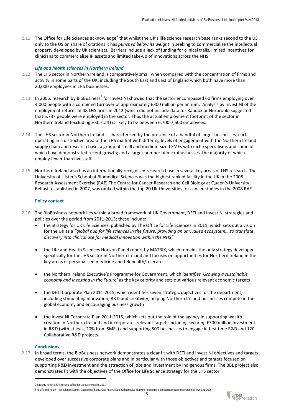2.11 The Office for Life Sciences acknowledge<sup>[7](#page-6-0)</sup> that whilst the UK's life science research base ranks second to the US only to the US on share of citations it has *punched below its weight* in seeking to commercialise the intellectual property developed by UK scientists. Barriers include a lack of funding for clinical trails, limited incentives for clinicians to commercialise IP assets and limited take-up of innovations across the NHS.

#### *Life and health sciences in Northern Ireland*

- 2.12 The LHS sector in Northern Ireland is comparatively small when compared with the concentration of firms and activity in some parts of the UK, including the South East and East of England which both have more than 20,000 employees in LHS businesses.
- 2.13 In 2006, research by BioBusiness<sup>[8](#page-6-1)</sup> for Invest NI showed that the sector encompassed 60 firms employing over 4,000 people with a combined turnover of approximately £300 million per annum. Analysis by Invest NI of the employment returns of 48 LHS firms in 2012 (which did not include data for Randox or Norbrook) suggested that 5,737 people were employed in the sector. Thus the actual employment footprint of the sector in Northern Ireland (excluding HSC staff) is likely to be between 6,700-7,500 employees.
- 2.14 The LHS sector in Northern Ireland is characterised by the presence of a handful of larger businesses, each operating in a distinctive area of the LHS market with differing levels of engagement with the Northern Ireland supply chain and research base; a group of small and medium-sized SMEs with niche specialisms and some of which have demonstrated recent growth; and a larger number of microbusinesses, the majority of which employ fewer than five staff.
- 2.15 Northern Ireland also has an internationally recognised research base in several key areas of LHS research. The University of Ulster's School of Biomedical Sciences was the highest ranked facility in the UK in the 2008 Research Assessment Exercise (RAE) The Centre for Cancer Research and Cell Biology at Queen's University Belfast, established in 2007, was ranked within the top 20 UK Universities for cancer studies in the 2008 RAE.

#### **Policy context**

- 2.16 The BioBusiness network lies within a broad framework of UK Government, DETI and Invest NI strategies and policies over the period from 2011-2013; these include:
	- the Strategy for UK Life Sciences, published by The Office for Life Sciences in 2011, which sets out a vision for the UK as a *"global hub for life sciences in the future, providing an unrivalled ecosystem….to translate discovery into clinical use for medical innovation within the NHS"*
	- the Life and Health Sciences Horizon Panel report by MATRIX, which remains the only strategy developed specifically for the LHS sector in Northern Ireland and focuses on opportunities for Northern Ireland in the key areas of personalised medicine and telehealth/telecare
	- the Northern Ireland Executive's Programme for Government, which *identifies 'Growing a sustainable economy and Investing in the Future'* as the key priority and sets out various relevant economic targets
	- the DETI Corporate Plan 2011-2015, which identifies seven strategic objectives for the department, including stimulating innovation, R&D and creativity; helping Northern Ireland businesses compete in the global economy and encouraging business growth
	- the Invest NI Corporate Plan 2011-2015, which sets out the role of the agency in supporting wealth creation in Northern Ireland and incorporates relevant targets including securing £300 million investment in R&D (with at least 20% from SMEs) and supporting 500 businesses to engage in first time R&D and 120 Collaborative R&D projects.

#### **Conclusions**

-

2.17 In broad terms, the BioBusiness network demonstrates a clear fit with DETI and Invest NI objectives and targets developed over successive corporate plans and in particular with those objectives and targets focused on supporting R&D investment and the attraction of jobs and investment by indigenous firms. The BBL project also demonstrates fit with the objectives of the Office for Life Science strategy for the LHS sector.



<span id="page-6-0"></span><sup>7</sup> Strategy for UK Life Sciences, Office for Life Sciences/BIS 2011

<span id="page-6-1"></span><sup>8</sup> NI Life and Health Technologies Sector: Capabilities Study, Gap Analysis and Collaborative Network Assessment, BioBusiness Northern Ireland for Invest NI 2006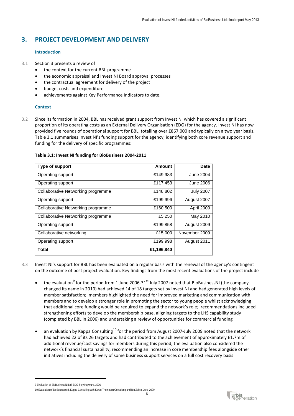# **3. PROJECT DEVELOPMENT AND DELIVERY**

# **Introduction**

- 3.1 Section 3 presents a review of
	- the context for the current BBL programme
	- the economic appraisal and Invest NI Board approval processes
	- the contractual agreement for delivery of the project
	- budget costs and expenditure
	- achievements against Key Performance Indicators to date.

# **Context**

3.2 Since its formation in 2004, BBL has received grant support from Invest NI which has covered a significant proportion of its operating costs as an External Delivery Organisation (EDO) for the agency. Invest NI has now provided five rounds of operational support for BBL, totalling over £867,000 and typically on a two year basis. Table 3.1 summarises Invest NI's funding support for the agency, identifying both core revenue support and funding for the delivery of specific programmes:

# **Table 3.1: Invest NI funding for BioBusiness 2004-2011**

| Type of support                    | Amount     | Date             |
|------------------------------------|------------|------------------|
| Operating support                  | £149,983   | <b>June 2004</b> |
| Operating support                  | £117,453   | June 2006        |
| Collaborative Networking programme | £148,802   | <b>July 2007</b> |
| Operating support                  | £199,996   | August 2007      |
| Collaborative Networking programme | £160,500   | April 2009       |
| Collaborative Networking programme | £5,250     | May 2010         |
| Operating support                  | £199,858   | August 2009      |
| Collaborative networking           | £15,000    | November 2009    |
| Operating support                  | £199,998   | August 2011      |
| <b>Total</b>                       | £1,196,840 |                  |

- 3.3 Invest NI's support for BBL has been evaluated on a regular basis with the renewal of the agency's contingent on the outcome of post project evaluation. Key findings from the most recent evaluations of the project include
	- the evaluation<sup>[9](#page-7-0)</sup> for the period from 1 June 2006-31<sup>st</sup> July 2007 noted that BioBusinessNI (the company changed its name in 2010) had achieved 14 of 18 targets set by Invest NI and had generated high levels of member satisfaction; members highlighted the need for improved marketing and communication with members and to develop a stronger role in promoting the sector to young people whilst acknowledging that additional core funding would be required to expand the network's role; recommendations included strengthening efforts to develop the membership base, aligning targets to the LHS capability study (completed by BBL in 2006) and undertaking a review of opportunities for commercial funding
	- an evaluation by Kappa Consulting<sup>[10](#page-7-1)</sup> for the period from August 2007-July 2009 noted that the network had achieved 22 of its 26 targets and had contributed to the achievement of approximately £1.7m of additional revenue/cost savings for members during this period; the evaluation also considered the network's financial sustainability, recommending an increase in core membership fees alongside other initiatives including the delivery of some business support services on a full cost recovery basis



<span id="page-7-0"></span><sup>9</sup> Evaluation of BioBusinessNI Ltd, BDO Stoy Hayward, 2006

<span id="page-7-1"></span><sup>10</sup> Evaluation of BioBusinessNI, Kappa Consulting with Karen Thompson Consulting and Blu Zebra, June 2009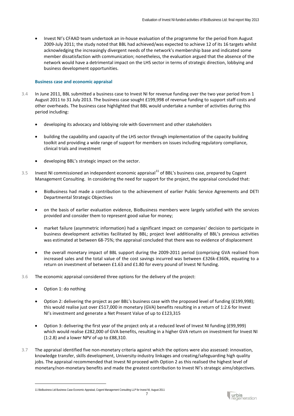• Invest NI's CFAAD team undertook an in-house evaluation of the programme for the period from August 2009-July 2011; the study noted that BBL had achieved/was expected to achieve 12 of its 16 targets whilst acknowledging the increasingly divergent needs of the network's membership base and indicated some member dissatisfaction with communication; nonetheless, the evaluation argued that the absence of the network would have a detrimental impact on the LHS sector in terms of strategic direction, lobbying and business development opportunities.

#### **Business case and economic appraisal**

- 3.4 In June 2011, BBL submitted a business case to Invest NI for revenue funding over the two year period from 1 August 2011 to 31 July 2013. The business case sought £199,998 of revenue funding to support staff costs and other overheads. The business case highlighted that BBL would undertake a number of activities during this period including:
	- developing its advocacy and lobbying role with Government and other stakeholders
	- building the capability and capacity of the LHS sector through implementation of the capacity building toolkit and providing a wide range of support for members on issues including regulatory compliance, clinical trials and investment
	- developing BBL's strategic impact on the sector.
- 3.5 Invest NI commissioned an independent economic appraisal<sup>[11](#page-8-0)</sup> of BBL's business case, prepared by Cogent Management Consulting. In considering the need for support for the project, the appraisal concluded that:
	- BioBusiness had made a contribution to the achievement of earlier Public Service Agreements and DETI Departmental Strategic Objectives
	- on the basis of earlier evaluation evidence, BioBusiness members were largely satisfied with the services provided and consider them to represent good value for money;
	- market failure (asymmetric information) had a significant impact on companies' decision to participate in business development activities facilitated by BBL; project level additionality of BBL's previous activities was estimated at between 68-75%; the appraisal concluded that there was no evidence of displacement
	- the overall monetary impact of BBL support during the 2009-2011 period (comprising GVA realised from increased sales and the total value of the cost savings incurred was between £326k-£360k, equating to a return on investment of between £1.63 and £1.80 for every pound of Invest NI funding.
- 3.6 The economic appraisal considered three options for the delivery of the project:
	- Option 1: do nothing

- Option 2: delivering the project as per BBL's business case with the proposed level of funding (£199,998); this would realise just over £517,000 in monetary (GVA) benefits resulting in a return of 1:2.6 for Invest NI's investment and generate a Net Present Value of up to £123,315
- Option 3: delivering the first year of the project only at a reduced level of Invest NI funding (£99,999) which would realise £282,000 of GVA benefits, resulting in a higher GVA return on investment for Invest NI (1:2.8) and a lower NPV of up to £88,310.
- 3.7 The appraisal identified five non-monetary criteria against which the options were also assessed: innovation, knowledge transfer, skills development, University-industry linkages and creating/safeguarding high quality jobs. The appraisal recommended that Invest NI proceed with Option 2 as this realised the highest level of monetary/non-monetary benefits and made the greatest contribution to Invest NI's strategic aims/objectives.



<span id="page-8-0"></span><sup>11</sup> BioBusiness Ltd Business Case Economic Appraisal, Cogent Management Consulting LLP for Invest NI, August 2011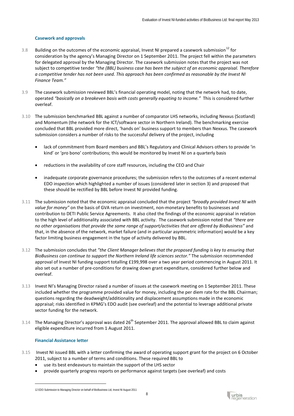## **Casework and approvals**

- 3.8 Building on the outcomes of the economic appraisal, Invest NI prepared a casework submission<sup>[12](#page-9-0)</sup> for consideration by the agency's Managing Director on 1 September 2011. The project fell within the parameters for delegated approval by the Managing Director. The casework submission notes that the project was not subject to competitive tender *"the (BBL) business case has been the subject of an economic appraisal. Therefore a competitive tender has not been used. This approach has been confirmed as reasonable by the Invest NI Finance Team."*
- 3.9 The casework submission reviewed BBL's financial operating model, noting that the network had, to date, operated *"basically on a breakeven basis with costs generally equating to income."* This is considered further overleaf.
- 3.10 The submission benchmarked BBL against a number of comparator LHS networks, including Nexxus (Scotland) and Momentum (the network for the ICT/software sector in Northern Ireland). The benchmarking exercise concluded that BBL provided more direct, 'hands on' business support to members than Nexxus. The casework submission considers a number of risks to the successful delivery of the project, including
	- lack of commitment from Board members and BBL's Regulatory and Clinical Advisors others to provide 'in kind' or 'pro bono' contributions; this would be monitored by Invest NI on a quarterly basis
	- reductions in the availability of core staff resources, including the CEO and Chair
	- inadequate corporate governance procedures; the submission refers to the outcomes of a recent external EDO inspection which highlighted a number of issues (considered later in section 3) and proposed that these should be rectified by BBL before Invest NI provided funding.
- 3.11 The submission noted that the economic appraisal concluded that the project *"broadly provided Invest NI with value for money"* on the basis of GVA return on investment, non-monetary benefits to businesses and contribution to DETI Public Service Agreements. It also cited the findings of the economic appraisal in relation to the high level of additionality associated with BBL activity. The casework submission noted that *"there are no other organisations that provide the same range of support/activities that are offered by BioBusiness"* and that, in the absence of the network, market failure (and in particular asymmetric information) would be a key factor limiting business engagement in the type of activity delivered by BBL.
- 3.12 The submission concludes that *"the Client Manager believes that the proposed funding is key to ensuring that BioBusiness can continue to support the Northern Ireland life sciences sector."* The submission recommended approval of Invest NI funding support totalling £199,998 over a two year period commencing in August 2011. It also set out a number of pre-conditions for drawing down grant expenditure, considered further below and overleaf.
- 3.13 Invest NI's Managing Director raised a number of issues at the casework meeting on 1 September 2011. These included whether the programme provided value for money, including the per diem rate for the BBL Chairman; questions regarding the deadweight/additionality and displacement assumptions made in the economic appraisal; risks identified in KPMG's EDO audit (see overleaf) and the potential to leverage additional private sector funding for the network.
- 3.14 The Managing Director's approval was dated  $26<sup>th</sup>$  September 2011. The approval allowed BBL to claim against eligible expenditure incurred from 1 August 2011.

#### **Financial Assistance letter**

- 3.15 Invest NI issued BBL with a letter confirming the award of operating support grant for the project on 6 October 2011, subject to a number of terms and conditions. These required BBL to
	- use its best endeavours to maintain the support of the LHS sector
	- provide quarterly progress reports on performance against targets (see overleaf) and costs

<span id="page-9-0"></span><sup>12</sup> EDO Submission to Managing Director on behalf of BioBusiness Ltd, Invest NI August 2011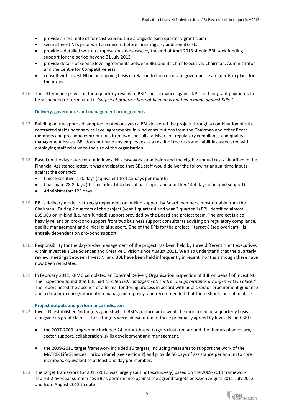- provide an estimate of forecast expenditure alongside each quarterly grant claim
- secure Invest NI's prior written consent before incurring any additional costs
- provide a detailed written proposal/business case by the end of April 2013 should BBL seek funding support for the period beyond 31 July 2013
- provide details of service level agreements between BBL and its Chief Executive, Chairman, Administrator and the Centre for Competitiveness
- consult with Invest NI on an ongoing basis in relation to the corporate governance safeguards in place for the project.
- 3.16 The letter made provision for a quarterly review of BBL's performance against KPIs and for grant payments to be suspended or terminated if *"sufficient progress has not been or is not being made against KPIs."*

#### **Delivery, governance and management arrangements**

- 3.17 Building on the approach adopted in previous years, BBL delivered the project through a combination of subcontracted staff under service level agreements, in-kind contributions from the Chairman and other Board members and pro-bono contributions from two specialist advisors on regulatory compliance and quality management issues. BBL does not have any employees as a result of the risks and liabilities associated with employing staff relative to the size of the organisation.
- 3.18 Based on the day rates set out in Invest NI's casework submission and the eligible annual costs identified in the Financial Assistance letter, it was anticipated that BBL staff would deliver the following annual time inputs against the contract:
	- Chief Executive: 150 days (equivalent to 12.5 days per month)
	- Chairman: 28.8 days (this includes 14.4 days of paid input and a further 14.4 days of in-kind support)
	- Administrator: 125 days.
- 3.19 BBL's delivery model is strongly dependent on in-kind support by Board members, most notably from the Chairman. During 2 quarters of the project (year 1 quarter 4 and year 2 quarter 1) BBL identified almost £35,000 on in-kind (i.e. non-funded) support provided by the Board and project team. The project is also heavily reliant on pro-bono support from two business support consultants advising on regulatory compliance, quality management and clinical trial support. One of the KPIs for the project – target 8 (see overleaf) – is entirely dependent on pro-bono support.
- 3.20 Responsibility for the day-to-day management of the project has been held by three different client executives within Invest NI's Life Sciences and Creative Division since August 2011. We also understand that the quarterly review meetings between Invest NI and BBL have been held infrequently in recent months although these have now been reinstated.
- 3.21 In February 2012, KPMG completed an External Delivery Organisation inspection of BBL on behalf of Invest NI. The inspection found that BBL had *"limited risk management, control and governance arrangements in place."* The report noted the absence of a formal tendering process in accord with public sector procurement guidance and a data protection/information management policy, and recommended that these should be put in place.

#### **Project outputs and performance indicators**

- 3.22 Invest NI established 16 targets against which BBL's performance would be monitored on a quarterly basis alongside its grant claims. These targets were an evolution of those previously agreed by Invest NI and BBL:
	- the 2007-2009 programme included 24 output-based targets clustered around the themes of advocacy, sector support, collaboration, skills development and management.
	- the 2009-2011 target framework included 16 targets, including measures to support the work of the MATRIX Life Sciences Horizon Panel (see section 2) and provide 56 days of assistance per annum to core members, equivalent to at least one day per member.
- 3.23 The target framework for 2011-2013 was largely (but not exclusively) based on the 2009-2011 framework. Table 3.2 overleaf summarises BBL's performance against the agreed targets between August 2011-July 2012 and from August 2012 to date:

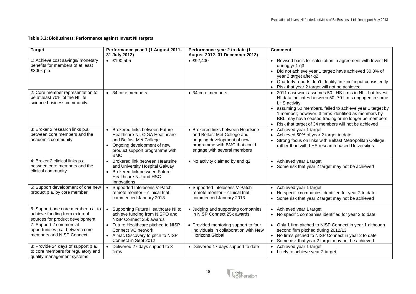# **Table 3.2: BioBusiness: Performance against Invest NI targets**

| <b>Target</b>                                                                                          | Performance year 1 (1 August 2011-<br>31 July 2012)                                                                                                                             | Performance year 2 to date (1<br>August 2012- 31 December 2013)                                                                                                 | <b>Comment</b>                                                                                                                                                                                                                                                                                                                                                   |
|--------------------------------------------------------------------------------------------------------|---------------------------------------------------------------------------------------------------------------------------------------------------------------------------------|-----------------------------------------------------------------------------------------------------------------------------------------------------------------|------------------------------------------------------------------------------------------------------------------------------------------------------------------------------------------------------------------------------------------------------------------------------------------------------------------------------------------------------------------|
| 1: Achieve cost savings/ monetary<br>benefits for members of at least<br>£300k p.a.                    | $\text{£}190,505$                                                                                                                                                               | • E92,400                                                                                                                                                       | • Revised basis for calculation in agreement with Invest NI<br>during yr 1 q3<br>• Did not achieve year 1 target; have achieved 30.8% of<br>year 2 target after q2<br>• Quarterly reports don't identify 'in kind' input consistently<br>Risk that year 2 target will not be achieved                                                                            |
| 2: Core member representation to<br>be at least 70% of the NI life<br>science business community       | • 34 core members                                                                                                                                                               | • 34 core members                                                                                                                                               | 2011 casework assumes 50 LHS firms in NI - but Invest<br>NI data indicates between 50 -70 firms engaged in some<br>LHS activity.<br>assuming 50 members, failed to achieve year 1 target by<br>1 member; however, 3 firms identified as members by<br>BBL may have ceased trading or no longer be members<br>Risk that target of 34 members will not be achieved |
| 3: Broker 2 research links p.a.<br>between core members and the<br>academic community                  | <b>Brokered links between Future</b><br>Healthcare NI, CIGA Healthcare<br>and Belfast Met College<br>Ongoing development of new<br>product support programme with<br><b>BMC</b> | • Brokered links between Heartsine<br>and Belfast Met College and<br>ongoing development of new<br>programme with BMC that could<br>engage with several members | Achieved year 1 target<br>Achieved 50% of year 2 target to date<br>Strong focus on links with Belfast Metropolitan College<br>rather than with LHS research-based Universities                                                                                                                                                                                   |
| 4: Broker 2 clinical links p.a.<br>between core members and the<br>clinical community                  | Brokered link between Heartsine<br>and University Hospital Galway<br>Brokered link between Future<br>Healthcare NU and HSC<br>Innovations                                       | • No activity claimed by end q2                                                                                                                                 | Achieved year 1 target<br>Some risk that year 2 target may not be achieved                                                                                                                                                                                                                                                                                       |
| 5: Support development of one new<br>product p.a. by core member                                       | Supported Intelesens V-Patch<br>$\bullet$<br>remote monitor - clinical trial<br>commenced January 2013                                                                          | • Supported Intelesens V-Patch<br>remote monitor - clinical trial<br>commenced January 2013                                                                     | • Achieved year 1 target<br>No specific companies identified for year 2 to date<br>• Some risk that year 2 target may not be achieved                                                                                                                                                                                                                            |
| 6: Support one core member p.a. to<br>achieve funding from external<br>sources for product development | Supporting Future Healthcare NI to<br>achieve funding from NISPO and<br>NISP Connect 25k awards                                                                                 | • Judging and supporting companies<br>in NISP Connect 25k awards                                                                                                | • Achieved year 1 target<br>• No specific companies identified for year 2 to date                                                                                                                                                                                                                                                                                |
| 7: Support 2 commercial<br>opportunities p.a. between core<br>members and NISP Connect                 | Future Healthcare pitched to NISP<br>Connect VC network<br>Almac Discovery to pitch to NISP<br>$\bullet$<br>Connect in Sept 2012                                                | • Provided mentoring support to four<br>individuals in collaboration with New<br><b>Horizons Global</b>                                                         | • Only 1 firm pitched to NISP Connect in year 1 although<br>second firm pitched during 2012/13<br>• No firms pitched to NISP Connect in year 2 to date<br>Some risk that year 2 target may not be achieved                                                                                                                                                       |
| 8: Provide 24 days of support p.a.<br>to core members for regulatory and<br>quality management systems | Delivered 27 days support to 8<br>firms                                                                                                                                         | • Delivered 17 days support to date                                                                                                                             | Achieved year 1 target<br>• Likely to achieve year 2 target                                                                                                                                                                                                                                                                                                      |

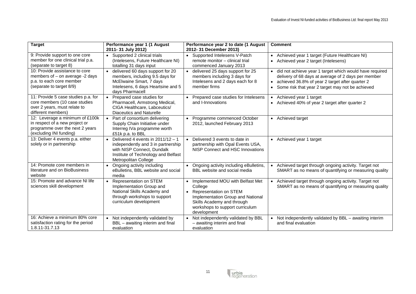| <b>Target</b>                                                                                                                   | Performance year 1 (1 August<br>2011-31 July 2012)                                                                                                                                         | Performance year 2 to date (1 August<br>2012-31 December 2013)                                                                                                                                                              | <b>Comment</b>                                                                                                                                                                                                            |
|---------------------------------------------------------------------------------------------------------------------------------|--------------------------------------------------------------------------------------------------------------------------------------------------------------------------------------------|-----------------------------------------------------------------------------------------------------------------------------------------------------------------------------------------------------------------------------|---------------------------------------------------------------------------------------------------------------------------------------------------------------------------------------------------------------------------|
| 9: Provide support to one core<br>member for one clinical trial p.a.<br>(separate to target 8)                                  | Supported 2 clinical trials<br>$\bullet$<br>(Intelesens, Future Healthcare NI)<br>totalling 31 days input                                                                                  | • Supported Intelesens V-Patch<br>remote monitor - clinical trial<br>commenced January 2013                                                                                                                                 | • Achieved year 1 target (Future Healthcare NI)<br>• Achieved year 2 target (Intelesens)                                                                                                                                  |
| 10: Provide assistance to core<br>members of $-$ on average $-2$ days<br>p.a. to each core member<br>(separate to target 8/9)   | delivered 60 days support for 20<br>$\bullet$<br>members, including 9.5 days for<br>McElwaine Smart, 7 days<br>Intelesens, 6 days Heartsine and 5<br>davs Pharmacell                       | delivered 25 days support for 25<br>members including 3 days for<br>Intelesens and 2 days each for 8<br>member firms                                                                                                        | · did not achieve year 1 target which would have required<br>delivery of 68 days at average of 2 days per member<br>achieved 36.8% of year 2 target after quarter 2<br>• Some risk that year 2 target may not be achieved |
| 11: Provide 5 case studies p.a. for<br>core members (10 case studies<br>over 2 years, must relate to<br>different members)      | Prepared case studies for<br>$\bullet$<br>Pharmacell, Armstrong Medical,<br>CIGA Healthcare, Labceutics/<br>Diaceutics and Naturelle                                                       | • Prepared case studies for Intelesens<br>and I-Innovations                                                                                                                                                                 | Achieved year 1 target<br>• Achieved 40% of year 2 target after quarter 2                                                                                                                                                 |
| 12: Leverage a minimum of £100k<br>in respect of a new project or<br>programme over the next 2 years<br>(excluding INI funding) | Part of consortium delivering<br>$\bullet$<br>Supply Chain Initiative under<br>Interreg IVa programme worth<br>£51k p.a. to BBL                                                            | Programme commenced October<br>$\bullet$<br>2012, launched February 2013                                                                                                                                                    | • Achieved target                                                                                                                                                                                                         |
| 13: Deliver 4 events p.a. either<br>solely or in partnership                                                                    | Delivered 4 events in $2011/12 - 1$<br>$\bullet$<br>independently and 3 in partnership<br>with NISP Connect, Dundalk<br>Institute of Technology and Belfast<br><b>Metropolitan College</b> | Delivered 3 events to date in<br>$\bullet$<br>partnership with Opal Events USA,<br>NISP Connect and HSC Innovations                                                                                                         | • Achieved year 1 target                                                                                                                                                                                                  |
| 14: Promote core members in<br>literature and on BioBusiness<br>website                                                         | Ongoing activity including<br>eBulletins, BBL website and social<br>media                                                                                                                  | • Ongoing activity including eBulletins,<br>BBL website and social media                                                                                                                                                    | • Achieved target through ongoing activity. Target not<br>SMART as no means of quantifying or measuring quality                                                                                                           |
| 15: Promote and advance NI life<br>sciences skill development                                                                   | Representation on STEM<br>$\bullet$<br>Implementation Group and<br>National Skills Academy and<br>through workshops to support<br>curriculum development                                   | Implemented MOU with Belfast Met<br>$\bullet$<br>College<br><b>Representation on STEM</b><br>$\bullet$<br>Implementation Group and National<br>Skills Academy and through<br>workshops to support curriculum<br>development | Achieved target through ongoing activity. Target not<br>SMART as no means of quantifying or measuring quality                                                                                                             |
| 16: Achieve a minimum 80% core<br>satisfaction rating for the period<br>1.8.11-31.7.13                                          | Not independently validated by<br>BBL - awaiting interim and final<br>evaluation                                                                                                           | Not independently validated by BBL<br>$\bullet$<br>- awaiting interim and final<br>evaluation                                                                                                                               | Not independently validated by BBL - awaiting interim<br>and final evaluation                                                                                                                                             |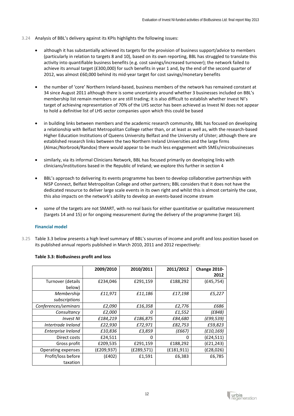- 3.24 Analysis of BBL's delivery against its KPIs highlights the following issues:
	- although it has substantially achieved its targets for the provision of business support/advice to members (particularly in relation to targets 8 and 10), based on its own reporting, BBL has struggled to translate this activity into quantifiable business benefits (e.g. cost savings/increased turnover); the network failed to achieve its annual target (£300,000) for such benefits in year 1 and, by the end of the second quarter of 2012, was almost £60,000 behind its mid-year target for cost savings/monetary benefits
	- the number of 'core' Northern Ireland-based, business members of the network has remained constant at 34 since August 2011 although there is some uncertainty around whether 3 businesses included on BBL's membership list remain members or are still trading; it is also difficult to establish whether Invest NI's target of achieving representation of 70% of the LHS sector has been achieved as Invest NI does not appear to hold a definitive list of LHS sector companies upon which this could be based
	- in building links between members and the academic research community, BBL has focused on developing a relationship with Belfast Metropolitan College rather than, or at least as well as, with the research-based Higher Education Institutions of Queens University Belfast and the University of Ulster; although there are established research links between the two Northern Ireland Universities and the large firms (Almac/Norbrook/Randox) there would appear to be much less engagement with SMEs/microbusinesses
	- similarly, via its informal Clinicians Network, BBL has focused primarily on developing links with clinicians/institutions based in the Republic of Ireland; we explore this further in section 4
	- BBL's approach to delivering its events programme has been to develop collaborative partnerships with NISP Connect, Belfast Metropolitan College and other partners; BBL considers that it does not have the dedicated resource to deliver large scale events in its own right and whilst this is almost certainly the case, this also impacts on the network's ability to develop an events-based income stream
	- some of the targets are not SMART, with no real basis for either quantitative or qualitative measurement (targets 14 and 15) or for ongoing measurement during the delivery of the programme (target 16).

# **Financial model**

3.25 Table 3.3 below presents a high level summary of BBL's sources of income and profit and loss position based on its published annual reports published in March 2010, 2011 and 2012 respectively:

|                      | 2009/2010  | 2010/2011   | 2011/2012   | Change 2010- |
|----------------------|------------|-------------|-------------|--------------|
|                      |            |             |             | 2012         |
| Turnover (details    | £234,046   | £291,159    | £188,292    | (E45, 754)   |
| below)               |            |             |             |              |
| Membership           | £11,971    | £11,186     | £17,198     | £5,227       |
| subscriptions        |            |             |             |              |
| Conferences/seminars | £2,090     | £16,358     | £2,776      | £686         |
| Consultancy          | £2,000     | 0           | £1,552      | (£848)       |
| <b>Invest NI</b>     | £184,219   | £186,875    | £84,680     | (£99,539)    |
| Intertrade Ireland   | £22,930    | £72,971     | £82,753     | £59,823      |
| Enterprise Ireland   | £10,836    | £3,859      | (E667)      | (E10, 169)   |
| Direct costs         | £24,511    | 0           | 0           | (£24,511)    |
| Gross profit         | £209,535   | £291,159    | £188,292    | (£21,243)    |
| Operating expenses   | (£209,937) | (E289, 571) | (f181, 911) | (E28,026)    |
| Profit/loss before   | (£402)     | £1,591      | £6,383      | £6,785       |
| taxation             |            |             |             |              |

# **Table 3.3: BioBusiness profit and loss**

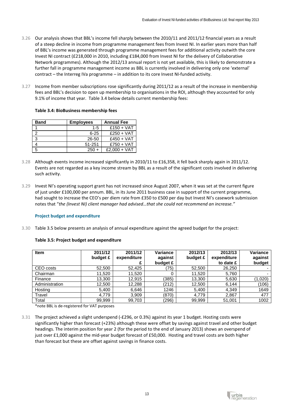- 3.26 Our analysis shows that BBL's income fell sharply between the 2010/11 and 2011/12 financial years as a result of a steep decline in income from programme management fees from Invest NI. In earlier years more than half of BBL's income was generated through programme management fees for additional activity outwith the core Invest NI contract (£218,000 in 2010, including £184,000 from Invest NI for the delivery of Collaborative Network programmes). Although the 2012/13 annual report is not yet available, this is likely to demonstrate a further fall in programme management income as BBL is currently involved in delivering only one 'external' contract – the Interreg IVa programme – in addition to its core Invest NI-funded activity.
- 3.27 Income from member subscriptions rose significantly during 2011/12 as a result of the increase in membership fees and BBL's decision to open up membership to organisations in the ROI, although they accounted for only 9.1% of income that year. Table 3.4 below details current membership fees:

| <b>Band</b> | <b>Employees</b> | <b>Annual Fee</b> |
|-------------|------------------|-------------------|
|             | $1 - 5$          | $£150 + VAT$      |
|             | $6 - 25$         | $£250 + VAT$      |
|             | 26-50            | $£450 + VAT$      |
|             | 51-251           | $£750 + VAT$      |

5 250 + £2,000 + VAT

# **Table 3.4: BioBusiness membership fees**

- 3.28 Although events income increased significantly in 2010/11 to £16,358, it fell back sharply again in 2011/12. Events are not regarded as a key income stream by BBL as a result of the significant costs involved in delivering such activity.
- 3.29 Invest NI's operating support grant has not increased since August 2007, when it was set at the current figure of just under £100,000 per annum. BBL, in its June 2011 business case in support of the current programme, had sought to increase the CEO's per diem rate from £350 to £500 per day but Invest NI's casework submission notes that "*the (Invest NI) client manager had advised…that she could not recommend an increase."*

#### **Project budget and expenditure**

3.30 Table 3.5 below presents an analysis of annual expenditure against the agreed budget for the project:

| <b>Item</b>    | 2011/12<br>budget £ | 2011/12<br>expenditure | Variance<br>against<br>budget £ | 2012/13<br>budget £ | 2012/13<br>expenditure<br>to date £ | Variance<br>against<br>budget |
|----------------|---------------------|------------------------|---------------------------------|---------------------|-------------------------------------|-------------------------------|
| CEO costs      | 52.500              | 52.425                 | (75)                            | 52,500              | 26,250                              | -                             |
| Chairman       | 11.520              | 11,520                 | 0                               | 11,520              | 5,760                               | $\overline{\phantom{0}}$      |
| Finance        | 13,300              | 12.915                 | (385)                           | 13,300              | 5,630                               | (1,020)                       |
| Administration | 12,500              | 12,288                 | (212)                           | 12,500              | 6,144                               | (106)                         |
| Hosting        | 5,400               | 6,646                  | 1246                            | 5,400               | 4,349                               | 1649                          |
| Travel         | 4,779               | 3,909                  | (870)                           | 4,779               | 2,867                               | 477                           |
| Total          | 99,999              | 99,703                 | (296)                           | 99,999              | 51,001                              | 1002                          |

# **Table 3.5: Project budget and expenditure**

\*note BBL is de-registered for VAT purposes

3.31 The project achieved a slight underspend (-£296, or 0.3%) against its year 1 budget. Hosting costs were significantly higher than forecast (+23%) although these were offset by savings against travel and other budget headings. The interim position for year 2 (for the period to the end of January 2013) shows an overspend of just over £1,000 against the mid-year budget forecast of £50,000. Hosting and travel costs are both higher than forecast but these are offset against savings in finance costs.

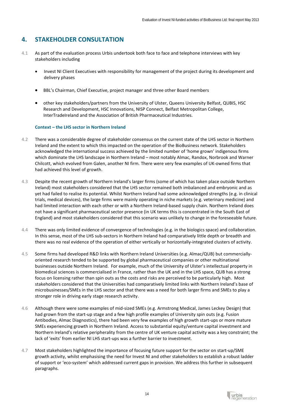# **4. STAKEHOLDER CONSULTATION**

- 4.1 As part of the evaluation process Urbis undertook both face to face and telephone interviews with key stakeholders including
	- Invest NI Client Executives with responsibility for management of the project during its development and delivery phases
	- BBL's Chairman, Chief Executive, project manager and three other Board members
	- other key stakeholders/partners from the University of Ulster, Queens University Belfast, QUBIS, HSC Research and Development, HSC Innovations, NISP Connect, Belfast Metropolitan College, InterTradeIreland and the Association of British Pharmaceutical Industries.

# **Context – the LHS sector in Northern Ireland**

- 4.2 There was a considerable degree of stakeholder consensus on the current state of the LHS sector in Northern Ireland and the extent to which this impacted on the operation of the BioBusiness network. Stakeholders acknowledged the international success achieved by the limited number of 'home grown' indigenous firms which dominate the LHS landscape in Northern Ireland – most notably Almac, Randox, Norbrook and Warner Chilcott, which evolved from Galen, another NI firm. There were very few examples of UK-owned firms that had achieved this level of growth.
- 4.3 Despite the recent growth of Northern Ireland's larger firms (some of which has taken place outside Northern Ireland) most stakeholders considered that the LHS sector remained both imbalanced and embryonic and as yet had failed to realise its potential. Whilst Northern Ireland had some acknowledged strengths (e.g. in clinical trials, medical devices), the large firms were mainly operating in niche markets (e.g. veterinary medicine) and had limited interaction with each other or with a Northern Ireland-based supply chain. Northern Ireland does not have a significant pharmaceutical sector presence (in UK terms this is concentrated in the South East of England) and most stakeholders considered that this scenario was unlikely to change in the foreseeable future.
- 4.4 There was only limited evidence of convergence of technologies (e.g. in the biologics space) and collaboration. In this sense, most of the LHS sub-sectors in Northern Ireland had comparatively little depth or breadth and there was no real evidence of the operation of either vertically or horizontally-integrated clusters of activity.
- 4.5 Some firms had developed R&D links with Northern Ireland Universities (e.g. Almac/QUB) but commerciallyoriented research tended to be supported by global pharmaceutical companies or other multinational businesses outside Northern Ireland. For example, much of the University of Ulster's intellectual property in biomedical sciences is commercialised in France, rather than the UK and in the LHS space, QUB has a strong focus on licensing rather than spin outs as the costs and risks are perceived to be particularly high. Most stakeholders considered that the Universities had comparatively limited links with Northern Ireland's base of microbusinesses/SMEs in the LHS sector and that there was a need for both larger firms and SMEs to play a stronger role in driving early stage research activity.
- 4.6 Although there were some examples of mid-sized SMEs (e.g. Armstrong Medical, James Leckey Design) that had grown from the start-up stage and a few high profile examples of University spin outs (e.g. Fusion Antibodies, Almac Diagnostics), there had been very few examples of high growth start-ups or more mature SMEs experiencing growth in Northern Ireland. Access to substantial equity/venture capital investment and Northern Ireland's relative peripherality from the centre of UK venture capital activity was a key constraint; the lack of 'exits' from earlier NI LHS start-ups was a further barrier to investment.
- 4.7 Most stakeholders highlighted the importance of focusing future support for the sector on start-up/SME growth activity, whilst emphasising the need for Invest NI and other stakeholders to establish a robust ladder of support or 'eco-system' which addressed current gaps in provision. We address this further in subsequent paragraphs.

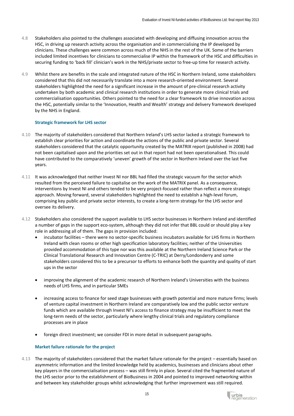- 4.8 Stakeholders also pointed to the challenges associated with developing and diffusing innovation across the HSC, in driving up research activity across the organisation and in commercialising the IP developed by clinicians. These challenges were common across much of the NHS in the rest of the UK. Some of the barriers included limited incentives for clinicians to commercialise IP within the framework of the HSC and difficulties in securing funding to 'back fill' clinician's work in the NHS/private sector to free-up time for research activity.
- 4.9 Whilst there are benefits in the scale and integrated nature of the HSC in Northern Ireland, some stakeholders considered that this did not necessarily translate into a more research-oriented environment. Several stakeholders highlighted the need for a significant increase in the amount of pre-clinical research activity undertaken by both academic and clinical research institutions in order to generate more clinical trials and commercialisation opportunities. Others pointed to the need for a clear framework to drive innovation across the HSC, potentially similar to the 'Innovation, Health and Wealth' strategy and delivery framework developed by the NHS in England.

#### **Strategic framework for LHS sector**

- 4.10 The majority of stakeholders considered that Northern Ireland's LHS sector lacked a strategic framework to establish clear priorities for action and coordinate the actions of the public and private sector. Several stakeholders considered that the catalytic opportunity created by the MATRIX report (published in 2008) had not been capitalised upon and the priorities set out in that report had not been operationalised. This could have contributed to the comparatively 'uneven' growth of the sector in Northern Ireland over the last five years.
- 4.11 It was acknowledged that neither Invest NI nor BBL had filled the strategic vacuum for the sector which resulted from the perceived failure to capitalise on the work of the MATRIX panel. As a consequence, interventions by Invest NI and others tended to be very project-focused rather than reflect a more strategic approach. Moving forward, several stakeholders highlighted the need to establish a high-level forum, comprising key public and private sector interests, to create a long-term strategy for the LHS sector and oversee its delivery.
- 4.12 Stakeholders also considered the support available to LHS sector businesses in Northern Ireland and identified a number of gaps in the support eco-system, although they did not infer that BBL could or should play a key role in addressing all of them. The gaps in provision included:
	- incubator facilities there were no sector-specific business incubators available for LHS firms in Northern Ireland with clean rooms or other high specification laboratory facilities; neither of the Universities provided accommodation of this type nor was this available at the Northern Ireland Science Park or the Clinical Translational Research and Innovation Centre (C-TRIC) at Derry/Londonderry and some stakeholders considered this to be a precursor to efforts to enhance both the quantity and quality of start ups in the sector
	- improving the alignment of the academic research of Northern Ireland's Universities with the business needs of LHS firms, and in particular SMEs
	- increasing access to finance for seed stage businesses with growth potential and more mature firms; levels of venture capital investment in Northern Ireland are comparatively low and the public sector venture funds which are available through Invest NI's access to finance strategy may be insufficient to meet the long-term needs of the sector, particularly where lengthy clinical trials and regulatory compliance processes are in place
	- foreign direct investment; we consider FDI in more detail in subsequent paragraphs.

# **Market failure rationale for the project**

4.13 The majority of stakeholders considered that the market failure rationale for the project – essentially based on asymmetric information and the limited knowledge held by academics, businesses and clinicians about other key players in the commercialisation process – was still firmly in place. Several cited the fragmented nature of the LHS sector prior to the establishment of BioBusiness in 2004 and pointed to improved networking within and between key stakeholder groups whilst acknowledging that further improvement was still required.

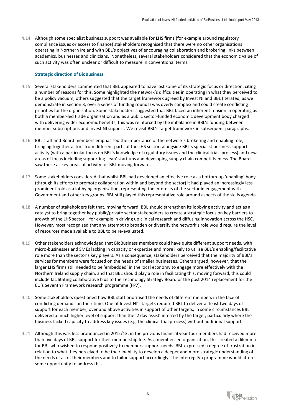4.14 Although some specialist business support was available for LHS firms (for example around regulatory compliance issues or access to finance) stakeholders recognised that there were no other organisations operating in Northern Ireland with BBL's objectives of encouraging collaboration and brokering links between academics, businesses and clinicians. Nonetheless, several stakeholders considered that the economic value of such activity was often unclear or difficult to measure in conventional terms.

#### **Strategic direction of BioBusiness**

- 4.15 Several stakeholders commented that BBL appeared to have lost some of its strategic focus or direction, citing a number of reasons for this. Some highlighted the network's difficulties in operating in what they perceived to be a policy vacuum; others suggested that the target framework agreed by Invest NI and BBL (iterated, as we demonstrate in section 3, over a series of funding rounds) was overly complex and could create conflicting priorities for the organisation. Some stakeholders suggested that BBL faced an inherent tension in operating as both a member-led trade organisation and as a public sector-funded economic development body charged with delivering wider economic benefits; this was reinforced by the imbalance in BBL's funding between member subscriptions and Invest NI support. We revisit BBL's target framework in subsequent paragraphs.
- 4.16 BBL staff and Board members emphasised the importance of the network's brokering and enabling role, bringing together actors from different parts of the LHS sector, alongside BBL's specialist business support activity (with a particular focus on BBL's knowledge of regulatory issues and the clinical trials process) and new areas of focus including supporting 'lean' start ups and developing supply chain competitiveness. The Board saw these as key areas of activity for BBL moving forward.
- 4.17 Some stakeholders considered that whilst BBL had developed an effective role as a bottom-up 'enabling' body (through its efforts to promote collaboration within and beyond the sector) it had played an increasingly less prominent role as a lobbying organisation, representing the interests of the sector in engagement with Government and other key groups. BBL still played this representative role around aspects of the skills agenda.
- 4.18 A number of stakeholders felt that, moving forward, BBL should strengthen its lobbying activity and act as a catalyst to bring together key public/private sector stakeholders to create a strategic focus on key barriers to growth of the LHS sector – for example in driving up clinical research and diffusing innovation across the HSC. However, most recognised that any attempt to broaden or diversify the network's role would require the level of resources made available to BBL to be re-evaluated.
- 4.19 Other stakeholders acknowledged that BioBusiness members could have quite different support needs, with micro-businesses and SMEs lacking in capacity or expertise and more likely to utilise BBL's enabling/facilitative role more than the sector's key players. As a consequence, stakeholders perceived that the majority of BBL's services for members were focused on the needs of smaller businesses. Others argued, however, that the larger LHS firms still needed to be 'embedded' in the local economy to engage more effectively with the Northern Ireland supply chain, and that BBL should play a role in facilitating this; moving forward, this could include facilitating collaborative bids to the Technology Strategy Board or the post 2014 replacement for the EU's Seventh Framework research programme (FP7).
- 4.20 Some stakeholders questioned how BBL staff prioritised the needs of different members in the face of conflicting demands on their time. One of Invest NI's targets required BBL to deliver at least two days of support for each member, over and above activities in support of other targets; in some circumstances BBL delivered a much higher level of support than the '2 day assist' inferred by the target, particularly where the business lacked capacity to address key issues (e.g. the clinical trial process) without additional support.
- 4.21 Although this was less pronounced in 2012/13, in the previous financial year four members had received more than five days of BBL support for their membership fee. As a member-led organisation, this created a dilemma for BBL who wished to respond positively to members support needs. BBL expressed a degree of frustration in relation to what they perceived to be their inability to develop a deeper and more strategic understanding of the needs of all of their members and to tailor support accordingly. The Interreg IVa programme would afford some opportunity to address this.

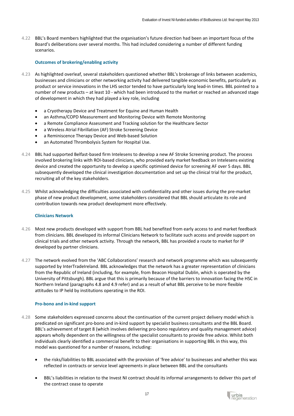4.22 BBL's Board members highlighted that the organisation's future direction had been an important focus of the Board's deliberations over several months. This had included considering a number of different funding scenarios.

# **Outcomes of brokering/enabling activity**

- 4.23 As highlighted overleaf, several stakeholders questioned whether BBL's brokerage of links between academics, businesses and clinicians or other networking activity had delivered tangible economic benefits, particularly as product or service innovations in the LHS sector tended to have particularly long lead-in times. BBL pointed to a number of new products – at least 10 - which had been introduced to the market or reached an advanced stage of development in which they had played a key role, including
	- a Cryotherapy Device and Treatment for Equine and Human Health
	- an Asthma/COPD Measurement and Monitoring Device with Remote Monitoring
	- a Remote Compliance Assessment and Tracking solution for the Healthcare Sector
	- a Wireless Atrial Fibrillation (AF) Stroke Screening Device
	- a Reminiscence Therapy Device and Web-based Solution
	- an Automated Thrombolysis System for Hospital Use.
- 4.24 BBL had supported Belfast-based firm Intelesens to develop a new AF Stroke Screening product. The process involved brokering links with ROI-based clinicians, who provided early market feedback on Intelesens existing device and created the opportunity to develop a specific optimised device for screening AF over 5 days. BBL subsequently developed the clinical investigation documentation and set up the clinical trial for the product, recruiting all of the key stakeholders.
- 4.25 Whilst acknowledging the difficulties associated with confidentiality and other issues during the pre-market phase of new product development, some stakeholders considered that BBL should articulate its role and contribution towards new product development more effectively.

# **Clinicians Network**

- 4.26 Most new products developed with support from BBL had benefited from early access to and market feedback from clinicians. BBL developed its informal Clinicians Network to facilitate such access and provide support on clinical trials and other network activity. Through the network, BBL has provided a route to market for IP developed by partner clinicians.
- 4.27 The network evolved from the 'ABC Collaborations' research and network programme which was subsequently supported by InterTradeIreland. BBL acknowledges that the network has a greater representation of clinicians from the Republic of Ireland (including, for example, from Beacon Hospital Dublin, which is operated by the University of Pittsburgh). BBL argue that this is primarily because of the barriers to innovation facing the HSC in Northern Ireland (paragraphs 4.8 and 4.9 refer) and as a result of what BBL perceive to be more flexible attitudes to IP held by institutions operating in the ROI.

# **Pro-bono and in-kind support**

- 4.28 Some stakeholders expressed concerns about the continuation of the current project delivery model which is predicated on significant pro-bono and in-kind support by specialist business consultants and the BBL Board. BBL's achievement of target 8 (which involves delivering pro-bono regulatory and quality management advice) appears wholly dependent on the willingness of the specialist consultants to provide free advice. Whilst both individuals clearly identified a commercial benefit to their organisations in supporting BBL in this way, this model was questioned for a number of reasons, including:
	- the risks/liabilities to BBL associated with the provision of 'free advice' to businesses and whether this was reflected in contracts or service level agreements in place between BBL and the consultants
	- BBL's liabilities in relation to the Invest NI contract should its informal arrangements to deliver this part of the contract cease to operate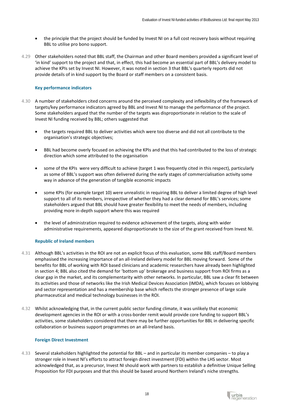- the principle that the project should be funded by Invest NI on a full cost recovery basis without requiring BBL to utilise pro bono support.
- 4.29 Other stakeholders noted that BBL staff, the Chairman and other Board members provided a significant level of 'in kind' support to the project and that, in effect, this had become an essential part of BBL's delivery model to achieve the KPIs set by Invest NI. However, it was noted in section 3 that BBL's quarterly reports did not provide details of in kind support by the Board or staff members on a consistent basis.

# **Key performance indicators**

- 4.30 A number of stakeholders cited concerns around the perceived complexity and inflexibility of the framework of targets/key performance indicators agreed by BBL and Invest NI to manage the performance of the project. Some stakeholders argued that the number of the targets was disproportionate in relation to the scale of Invest NI funding received by BBL; others suggested that
	- the targets required BBL to deliver activities which were too diverse and did not all contribute to the organisation's strategic objectives;
	- BBL had become overly focused on achieving the KPIs and that this had contributed to the loss of strategic direction which some attributed to the organisation
	- some of the KPIs were very difficult to achieve (target 1 was frequently cited in this respect), particularly as some of BBL's support was often delivered during the early stages of commercialisation activity some way in advance of the generation of tangible economic impacts
	- some KPIs (for example target 10) were unrealistic in requiring BBL to deliver a limited degree of high level support to all of its members, irrespective of whether they had a clear demand for BBL's services; some stakeholders argued that BBL should have greater flexibility to meet the needs of members, including providing more in-depth support where this was required
	- the level of administration required to evidence achievement of the targets, along with wider administrative requirements, appeared disproportionate to the size of the grant received from Invest NI.

# **Republic of Ireland members**

- 4.31 Although BBL's activities in the ROI are not an explicit focus of this evaluation, some BBL staff/Board members emphasised the increasing importance of an all-Ireland delivery model for BBL moving forward. Some of the benefits for BBL of working with ROI based clinicians and academic researchers have already been highlighted in section 4; BBL also cited the demand for 'bottom up' brokerage and business support from ROI firms as a clear gap in the market, and its complementarity with other networks. In particular, BBL saw a clear fit between its activities and those of networks like the Irish Medical Devices Association (IMDA), which focuses on lobbying and sector representation and has a membership base which reflects the stronger presence of large scale pharmaceutical and medical technology businesses in the ROI.
- 4.32 Whilst acknowledging that, in the current public sector funding climate, it was unlikely that economic development agencies in the ROI or with a cross-border remit would provide core funding to support BBL's activities, some stakeholders considered that there may be further opportunities for BBL in delivering specific collaboration or business support programmes on an all-Ireland basis.

#### **Foreign Direct Investment**

4.33 Several stakeholders highlighted the potential for BBL – and in particular its member companies – to play a stronger role in Invest NI's efforts to attract foreign direct investment (FDI) within the LHS sector. Most acknowledged that, as a precursor, Invest NI should work with partners to establish a definitive Unique Selling Proposition for FDI purposes and that this should be based around Northern Ireland's niche strengths.

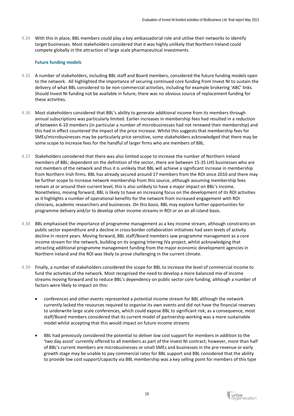4.34 With this in place, BBL members could play a key ambassadorial role and utilise their networks to identify target businesses. Most stakeholders considered that it was highly unlikely that Northern Ireland could compete globally in the attraction of large scale pharmaceutical investments.

# **Future funding models**

- 4.35 A number of stakeholders, including BBL staff and Board members, considered the future funding models open to the network. All highlighted the importance of securing continued core funding from Invest NI to sustain the delivery of what BBL considered to be non-commercial activities, including for example brokering 'ABC' links. Should Invest NI funding not be available in future, there was no obvious source of replacement funding for these activities.
- 4.36 Most stakeholders considered that BBL's ability to generate additional income from its members through annual subscriptions was particularly limited. Earlier increases in membership fees had resulted in a reduction of between 6-10 members (in particular a number of microbusinesses had not renewed their membership) and this had in effect countered the impact of the price increase. Whilst this suggests that membership fees for SMEs/microbusinesses may be particularly price sensitive, some stakeholders acknowledged that there may be some scope to increase fees for the handful of larger firms who are members of BBL.
- 4.37 Stakeholders considered that there was also limited scope to increase the number of Northern Ireland members of BBL; dependent on the definition of the sector, there are between 15-35 LHS businesses who are not members of the network and thus it is unlikely that BBL will achieve a significant increase in membership from Northern Irish firms. BBL has already secured around 17 members from the ROI since 2010 and there may be further scope to increase network membership from this source, although assuming membership fees remain at or around their current level, this is also unlikely to have a major impact on BBL's income. Nonetheless, moving forward, BBL is likely to have an increasing focus on the development of its ROI activities as it highlights a number of operational benefits for the network from increased engagement with ROI clinicians, academic researchers and businesses. On this basis, BBL may explore further opportunities for programme delivery and/or to develop other income streams in ROI or on an all-island basis.
- 4.38 BBL emphasised the importance of programme management as a key income stream, although constraints on public sector expenditure and a decline in cross-border collaboration initiatives had seen levels of activity decline in recent years. Moving forward, BBL staff/Board members saw programme management as a core income stream for the network, building on its ongoing Interreg IVa project, whilst acknowledging that attracting additional programme management funding from the major economic development agencies in Northern Ireland and the ROI was likely to prove challenging in the current climate.
- 4.39 Finally, a number of stakeholders considered the scope for BBL to increase the level of commercial income to fund the activities of the network. Most recognised the need to develop a more balanced mix of income streams moving forward and to reduce BBL's dependency on public sector core funding, although a number of factors were likely to impact on this:
	- conferences and other events represented a potential income stream for BBL although the network currently lacked the resources required to organise its own events and did not have the financial reserves to underwrite large scale conferences, which could expose BBL to significant risk; as a consequence, most staff/Board members considered that its current model of partnership working was a more sustainable model whilst accepting that this would impact on future income streams
	- BBL had previously considered the potential to deliver low cost support for members in addition to the 'two day assist' currently offered to all members as part of the Invest NI contract; however, more than half of BBL's current members are microbusinesses or small SMEs and businesses in the pre-revenue or early growth stage may be unable to pay commercial rates for BBL support and BBL considered that the ability to provide low cost support/capacity via BBL membership was a key selling point for members of this type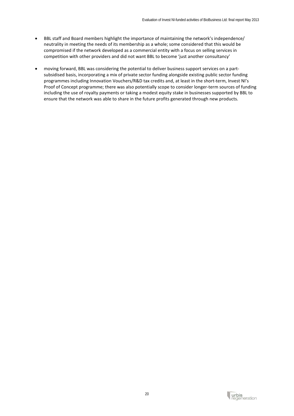- BBL staff and Board members highlight the importance of maintaining the network's independence/ neutrality in meeting the needs of its membership as a whole; some considered that this would be compromised if the network developed as a commercial entity with a focus on selling services in competition with other providers and did not want BBL to become 'just another consultancy'
- moving forward, BBL was considering the potential to deliver business support services on a partsubsidised basis, incorporating a mix of private sector funding alongside existing public sector funding programmes including Innovation Vouchers/R&D tax credits and, at least in the short-term, Invest NI's Proof of Concept programme; there was also potentially scope to consider longer-term sources of funding including the use of royalty payments or taking a modest equity stake in businesses supported by BBL to ensure that the network was able to share in the future profits generated through new products.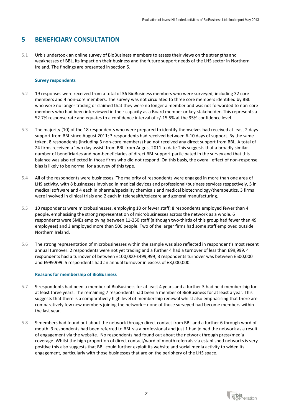# **5 BENEFICIARY CONSULTATION**

5.1 Urbis undertook an online survey of BioBusiness members to assess their views on the strengths and weaknesses of BBL, its impact on their business and the future support needs of the LHS sector in Northern Ireland. The findings are presented in section 5.

# **Survey respondents**

- 5.2 19 responses were received from a total of 36 BioBusiness members who were surveyed, including 32 core members and 4 non-core members. The survey was not circulated to three core members identified by BBL who were no longer trading or claimed that they were no longer a member and was not forwarded to non-core members who had been interviewed in their capacity as a Board member or key stakeholder. This represents a 52.7% response rate and equates to a confidence interval of +/-15.5% at the 95% confidence level.
- 5.3 The majority (10) of the 18 respondents who were prepared to identify themselves had received at least 2 days support from BBL since August 2011; 3 respondents had received between 6-10 days of support. By the same token, 8 respondents (including 3 non-core members) had not received any direct support from BBL. A total of 24 firms received a 'two day assist' from BBL from August 2011 to date This suggests that a broadly similar number of beneficiaries and non-beneficiaries of direct BBL support participated in the survey and that this balance was also reflected in those firms who did not respond. On this basis, the overall effect of non-response bias is likely to be normal for a survey of this type.
- 5.4 All of the respondents were businesses. The majority of respondents were engaged in more than one area of LHS activity, with 8 businesses involved in medical devices and professional/business services respectively, 5 in medical software and 4 each in pharma/speciality chemicals and medical biotechnology/therapeutics. 3 firms were involved in clinical trials and 2 each in telehealth/telecare and general manufacturing.
- 5.5 10 respondents were microbusinesses, employing 10 or fewer staff; 8 respondents employed fewer than 4 people, emphasising the strong representation of microbusinesses across the network as a whole. 6 respondents were SMEs employing between 11-250 staff (although two-thirds of this group had fewer than 49 employees) and 3 employed more than 500 people. Two of the larger firms had some staff employed outside Northern Ireland.
- 5.6 The strong representation of microbusinesses within the sample was also reflected in respondent's most recent annual turnover. 2 respondents were not yet trading and a further 4 had a turnover of less than £99,999. 4 respondents had a turnover of between £100,000-£499,999; 3 respondents turnover was between £500,000 and £999,999. 5 respondents had an annual turnover in excess of £3,000,000.

# **Reasons for membership of BioBusiness**

- 5.7 9 respondents had been a member of BioBusiness for at least 4 years and a further 3 had held membership for at least three years. The remaining 7 respondents had been a member of BioBusiness for at least a year. This suggests that there is a comparatively high level of membership renewal whilst also emphasising that there are comparatively few new members joining the network – none of those surveyed had become members within the last year.
- 5.8 9 members had found out about the network through direct contact from BBL and a further 6 through word of mouth. 3 respondents had been referred to BBL via a professional and just 1 had joined the network as a result of engagement via the website. No respondents had found out about the network through press/media coverage. Whilst the high proportion of direct contact/word of mouth referrals via established networks is very positive this also suggests that BBL could further exploit its website and social media activity to widen its engagement, particularly with those businesses that are on the periphery of the LHS space.

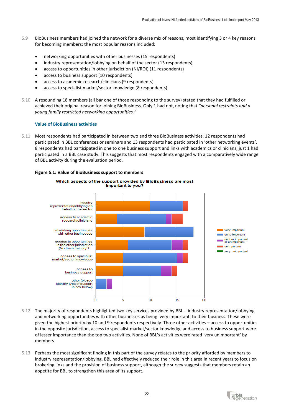- 5.9 BioBusiness members had joined the network for a diverse mix of reasons, most identifying 3 or 4 key reasons for becoming members; the most popular reasons included:
	- networking opportunities with other businesses (15 respondents)
	- industry representation/lobbying on behalf of the sector (13 respondents)
	- access to opportunities in other jurisdiction (NI/ROI) (11 respondents)
	- access to business support (10 respondents)
	- access to academic research/clinicians (9 respondents)
	- access to specialist market/sector knowledge (8 respondents).
- 5.10 A resounding 18 members (all bar one of those responding to the survey) stated that they had fulfilled or achieved their original reason for joining BioBusiness. Only 1 had not, noting that *"personal restraints and a young family restricted networking opportunities."*

### **Value of BioBusiness activities**

5.11 Most respondents had participated in between two and three BioBusiness activities. 12 respondents had participated in BBL conferences or seminars and 13 respondents had participated in 'other networking events'. 8 respondents had participated in one to one business support and links with academics or clinicians; just 1 had participated in a BBL case study. This suggests that most respondents engaged with a comparatively wide range of BBL activity during the evaluation period.

#### **Figure 5.1: Value of BioBusiness support to members**



- 5.12 The majority of respondents highlighted two key services provided by BBL industry representation/lobbying and networking opportunities with other businesses as being 'very important' to their business. These were given the highest priority by 10 and 9 respondents respectively. Three other activities – access to opportunities in the opposite jurisdiction, access to specialist market/sector knowledge and access to business support were of lesser importance than the top two activities. None of BBL's activities were rated 'very unimportant' by members.
- 5.13 Perhaps the most significant finding in this part of the survey relates to the priority afforded by members to industry representation/lobbying. BBL had effectively reduced their role in this area in recent years to focus on brokering links and the provision of business support, although the survey suggests that members retain an appetite for BBL to strengthen this area of its support.

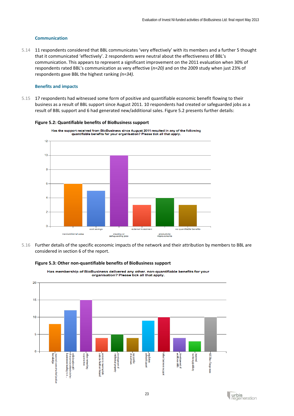# **Communication**

5.14 11 respondents considered that BBL communicates 'very effectively' with its members and a further 5 thought that it communicated 'effectively'. 2 respondents were neutral about the effectiveness of BBL's communication. This appears to represent a significant improvement on the 2011 evaluation when 30% of respondents rated BBL's communication as very effective (*n=20)* and on the 2009 study when just 23% of respondents gave BBL the highest ranking *(n=34).*

## **Benefits and impacts**

5.15 17 respondents had witnessed some form of positive and quantifiable economic benefit flowing to their business as a result of BBL support since August 2011. 10 respondents had created or safeguarded jobs as a result of BBL support and 6 had generated new/additional sales. Figure 5.2 presents further details:



#### **Figure 5.2: Quantifiable benefits of BioBusiness support**

5.16 Further details of the specific economic impacts of the network and their attribution by members to BBL are considered in section 6 of the report.



### **Figure 5.3: Other non-quantifiable benefits of BioBusiness support**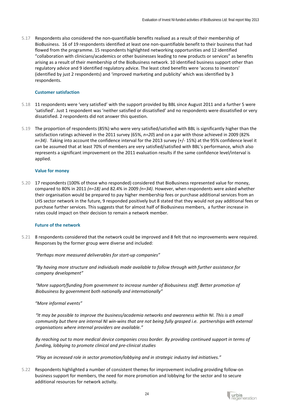5.17 Respondents also considered the non-quantifiable benefits realised as a result of their membership of BioBusiness. 16 of 19 respondents identified at least one non-quantifiable benefit to their business that had flowed from the programme. 15 respondents highlighted networking opportunities and 12 identified "collaboration with clinicians/academics or other businesses leading to new products or services" as benefits arising as a result of their membership of the BioBusiness network. 10 identified business support other than regulatory advice and 9 identified regulatory advice. The least cited benefits were 'access to investors' (identified by just 2 respondents) and 'improved marketing and publicity' which was identified by 3 respondents.

## **Customer satisfaction**

- 5.18 11 respondents were 'very satisfied' with the support provided by BBL since August 2011 and a further 5 were 'satisfied'. Just 1 respondent was 'neither satisfied or dissatisfied' and no respondents were dissatisfied or very dissatisfied. 2 respondents did not answer this question.
- 5.19 The proportion of respondents (85%) who were very satisfied/satisfied with BBL is significantly higher than the satisfaction ratings achieved in the 2011 survey (65%, *n=20*) and on a par with those achieved in 2009 (82% *n=34)*. Taking into account the confidence interval for the 2013 survey (+/- 15%) at the 95% confidence level it can be assumed that at least 70% of members are very satisfied/satisfied with BBL's performance, which also represents a significant improvement on the 2011 evaluation results if the same confidence level/interval is applied.

#### **Value for money**

5.20 17 respondents (100% of those who responded) considered that BioBusiness represented value for money, compared to 80% in 2011 *(n=18)* and 82.4% in 2009 *(n=34)*. However, when respondents were asked whether their organisation would be prepared to pay higher membership fees or purchase additional services from an LHS sector network in the future, 9 responded positively but 8 stated that they would not pay additional fees or purchase further services. This suggests that for almost half of BioBusiness members, a further increase in rates could impact on their decision to remain a network member.

#### **Future of the network**

5.21 8 respondents considered that the network could be improved and 8 felt that no improvements were required. Responses by the former group were diverse and included:

#### *"Perhaps more measured deliverables for start-up companies"*

*"By having more structure and individuals made available to follow through with further assistance for company development"*

*"More support/funding from government to increase number of Biobusiness staff. Better promotion of Biobusiness by government both nationally and internationally"*

*"More informal events"*

*"It may be possible to improve the business/academia networks and awareness within NI. This is a small community but there are internal NI win-wins that are not being fully grasped i.e. partnerships with external organisations where internal providers are available."*

*By reaching out to more medical device companies cross border. By providing continued support in terms of funding, lobbying to promote clinical and pre-clinical studies*

*"Play an increased role in sector promotion/lobbying and in strategic industry led initiatives."*

5.22 Respondents highlighted a number of consistent themes for improvement including providing follow-on business support for members, the need for more promotion and lobbying for the sector and to secure additional resources for network activity.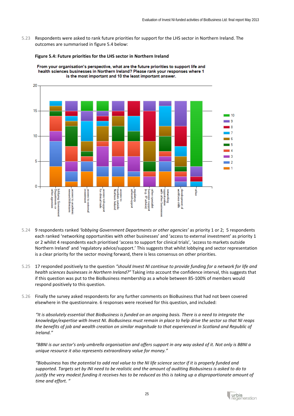5.23 Respondents were asked to rank future priorities for support for the LHS sector in Northern Ireland. The outcomes are summarised in figure 5.4 below:

#### **Figure 5.4: Future priorities for the LHS sector in Northern Ireland**



From your organisation's perspective, what are the future priorities to support life and health sciences businesses in Northern Ireland? Please rank your responses where 1 is the most important and 10 the least important answer.

- 5.24 9 respondents ranked *'lobbying Government Departments or other agencies'* as priority 1 or 2; 5 respondents each ranked 'networking opportunities with other businesses' and 'access to external investment' as priority 1 or 2 whilst 4 respondents each prioritised 'access to support for clinical trials', 'access to markets outside Northern Ireland' and 'regulatory advice/support.' This suggests that whilst lobbying and sector representation is a clear priority for the sector moving forward, there is less consensus on other priorities.
- 5.25 17 responded positively to the question *"should Invest NI continue to provide funding for a network for life and health sciences businesses in Northern Ireland?"* Taking into account the confidence interval, this suggests that if this question was put to the BioBusiness membership as a whole between 85-100% of members would respond positively to this question.
- 5.26 Finally the survey asked respondents for any further comments on BioBusiness that had not been covered elsewhere in the questionnaire. 6 responses were received for this question, and included:

*"It is absolutely essential that BioBusiness is funded on an ongoing basis. There is a need to integrate the knowledge/expertise with Invest NI. BioBusiness must remain in place to help drive the sector so that NI reaps the benefits of job and wealth creation on similar magnitude to that experienced in Scotland and Republic of Ireland."*

*"BBNI is our sector's only umbrella organisation and offers support in any way asked of it. Not only is BBNI a unique resource it also represents extraordinary value for money."*

*"Biobusiness has the potential to add real value to the NI life science sector if it is properly funded and supported. Targets set by INI need to be realistic and the amount of auditing Biobusiness is asked to do to justify the very modest funding it receives has to be reduced as this is taking up a disproportionate amount of time and effort. "*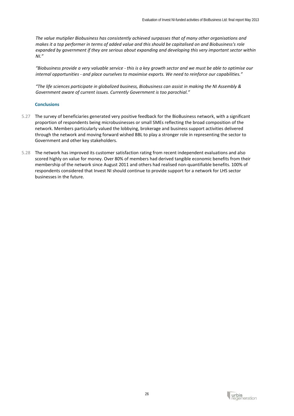*The value mutiplier Biobusiness has consistently achieved surpasses that of many other organisations and makes it a top performer in terms of added value and this should be capitalised on and Biobusiness's role expanded by government if they are serious about expanding and developing this very important sector within NI."*

*"Biobusiness provide a very valuable service - this is a key growth sector and we must be able to optimise our internal opportunities - and place ourselves to maximise exports. We need to reinforce our capabilities."*

*"The life sciences participate in globalized business, Biobusiness can assist in making the NI Assembly & Government aware of current issues. Currently Government is too parochial."*

# **Conclusions**

- 5.27 The survey of beneficiaries generated very positive feedback for the BioBusiness network, with a significant proportion of respondents being microbusinesses or small SMEs reflecting the broad composition of the network. Members particularly valued the lobbying, brokerage and business support activities delivered through the network and moving forward wished BBL to play a stronger role in representing the sector to Government and other key stakeholders.
- 5.28 The network has improved its customer satisfaction rating from recent independent evaluations and also scored highly on value for money. Over 80% of members had derived tangible economic benefits from their membership of the network since August 2011 and others had realised non-quantifiable benefits. 100% of respondents considered that Invest NI should continue to provide support for a network for LHS sector businesses in the future.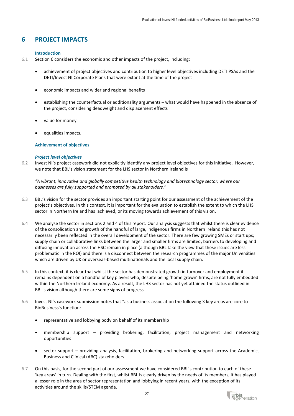# **6 PROJECT IMPACTS**

#### **Introduction**

- 6.1 Section 6 considers the economic and other impacts of the project, including:
	- achievement of project objectives and contribution to higher level objectives including DETI PSAs and the DETI/Invest NI Corporate Plans that were extant at the time of the project
	- economic impacts and wider and regional benefits
	- establishing the counterfactual or additionality arguments what would have happened in the absence of the project, considering deadweight and displacement effects
	- value for money
	- equalities impacts.

#### **Achievement of objectives**

#### *Project level objectives*

6.2 Invest NI's project casework did not explicitly identify any project level objectives for this initiative. However, we note that BBL's vision statement for the LHS sector in Northern Ireland is

*"A vibrant, innovative and globally competitive health technology and biotechnology sector, where our businesses are fully supported and promoted by all stakeholders."*

- 6.3 BBL's vision for the sector provides an important starting point for our assessment of the achievement of the project's objectives. In this context, it is important for the evaluation to establish the extent to which the LHS sector in Northern Ireland has achieved, or its moving towards achievement of this vision.
- 6.4 We analyse the sector in sections 2 and 4 of this report. Our analysis suggests that whilst there is clear evidence of the consolidation and growth of the handful of large, indigenous firms in Northern Ireland this has not necessarily been reflected in the overall development of the sector. There are few growing SMEs or start ups; supply chain or collaborative links between the larger and smaller firms are limited; barriers to developing and diffusing innovation across the HSC remain in place (although BBL take the view that these issues are less problematic in the ROI) and there is a disconnect between the research programmes of the major Universities which are driven by UK or overseas-based multinationals and the local supply chain.
- 6.5 In this context, it is clear that whilst the sector has demonstrated growth in turnover and employment it remains dependent on a handful of key players who, despite being 'home grown' firms, are not fully embedded within the Northern Ireland economy. As a result, the LHS sector has not yet attained the status outlined in BBL's vision although there are some signs of progress.
- 6.6 Invest NI's casework submission notes that "as a business association the following 3 key areas are core to BioBusiness's function:
	- representative and lobbying body on behalf of its membership
	- membership support providing brokering, facilitation, project management and networking opportunities
	- sector support providing analysis, facilitation, brokering and networking support across the Academic, Business and Clinical (ABC) stakeholders.
- 6.7 On this basis, for the second part of our assessment we have considered BBL's contribution to each of these 'key areas' in turn. Dealing with the first, whilst BBL is clearly driven by the needs of its members, it has played a lesser role in the area of sector representation and lobbying in recent years, with the exception of its activities around the skills/STEM agenda.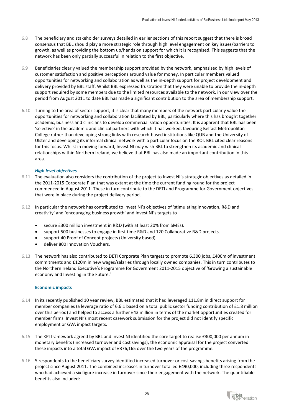- 6.8 The beneficiary and stakeholder surveys detailed in earlier sections of this report suggest that there is broad consensus that BBL should play a more strategic role through high level engagement on key issues/barriers to growth, as well as providing the bottom up/hands on support for which it is recognised. This suggests that the network has been only partially successful in relation to the first objective.
- 6.9 Beneficiaries clearly valued the membership support provided by the network, emphasised by high levels of customer satisfaction and positive perceptions around value for money. In particular members valued opportunities for networking and collaboration as well as the in-depth support for project development and delivery provided by BBL staff. Whilst BBL expressed frustration that they were unable to provide the in-depth support required by some members due to the limited resources available to the network, in our view over the period from August 2011 to date BBL has made a significant contribution to the area of membership support.
- 6.10 Turning to the area of sector support, it is clear that many members of the network particularly value the opportunities for networking and collaboration facilitated by BBL, particularly where this has brought together academic, business and clinicians to develop commercialisation opportunities. It is apparent that BBL has been 'selective' in the academic and clinical partners with which it has worked, favouring Belfast Metropolitan College rather than developing strong links with research-based institutions like QUB and the University of Ulster and developing its informal clinical network with a particular focus on the ROI. BBL cited clear reasons for this focus. Whilst in moving forward, Invest NI may wish BBL to strengthen its academic and clinical relationships within Northern Ireland, we believe that BBL has also made an important contribution in this area.

# *High level objectives*

- 6.11 The evaluation also considers the contribution of the project to Invest NI's strategic objectives as detailed in the 2011-2015 Corporate Plan that was extant at the time the current funding round for the project commenced in August 2011. These in turn contribute to the DETI and Programme for Government objectives that were in place during the project delivery period.
- 6.12 In particular the network has contributed to Invest NI's objectives of 'stimulating innovation, R&D and creativity' and 'encouraging business growth' and Invest NI's targets to
	- secure £300 million investment in R&D (with at least 20% from SMEs).
	- support 500 businesses to engage in first time R&D and 120 Collaborative R&D projects.
	- support 40 Proof of Concept projects (University based).
	- deliver 800 Innovation Vouchers.
- 6.13 The network has also contributed to DETI Corporate Plan targets to promote 6,300 jobs, £400m of investment commitments and £120m in new wages/salaries through locally owned companies. This in turn contributes to the Northern Ireland Executive's Programme for Government 2011-2015 objective of 'Growing a sustainable economy and Investing in the Future.'

#### **Economic impacts**

- 6.14 In its recently published 10 year review, BBL estimated that it had leveraged £11.8m in direct support for member companies (a leverage ratio of 6.6:1 based on a total public sector funding contribution of £1.8 million over this period) and helped to access a further £43 million in terms of the market opportunities created for member firms. Invest NI's most recent casework submission for the project did not identify specific employment or GVA impact targets.
- 6.15 The KPI framework agreed by BBL and Invest NI identified the core target to realise £300,000 per annum in monetary benefits (increased turnover and cost savings); the economic appraisal for the project converted these impacts into a total GVA impact of £376,165 over the two years of the programme.
- 6.16 5 respondents to the beneficiary survey identified increased turnover or cost savings benefits arising from the project since August 2011. The combined increases in turnover totalled £490,000, including three respondents who had achieved a six figure increase in turnover since their engagement with the network. The quantifiable benefits also included: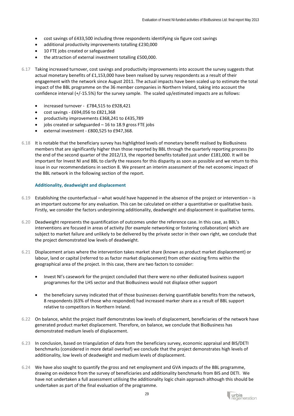- cost savings of £433,500 including three respondents identifying six figure cost savings
- additional productivity improvements totalling £230,000
- 10 FTE jobs created or safeguarded
- the attraction of external investment totalling £500,000.
- 6.17 Taking increased turnover, cost savings and productivity improvements into account the survey suggests that actual monetary benefits of £1,153,000 have been realised by survey respondents as a result of their engagement with the network since August 2011. The actual impacts have been scaled up to estimate the total impact of the BBL programme on the 36 member companies in Northern Ireland, taking into account the confidence interval (+/-15.5%) for the survey sample. The scaled up/estimated impacts are as follows:
	- increased turnover £784,515 to £928,421
	- cost savings £694,056 to £821,368
	- productivity improvements £368,241 to £435,789
	- jobs created or safeguarded  $-16$  to 18.9 gross FTE jobs
	- external investment £800,525 to £947,368.
- 6.18 It is notable that the beneficiary survey has highlighted levels of monetary benefit realised by BioBusiness members that are significantly higher than those reported by BBL through the quarterly reporting process (to the end of the second quarter of the 2012/13, the reported benefits totalled just under £181,000. It will be important for Invest NI and BBL to clarify the reasons for this disparity as soon as possible and we return to this issue in our recommendations in section 8. We present an interim assessment of the net economic impact of the BBL network in the following section of the report.

#### **Additionality, deadweight and displacement**

- 6.19 Establishing the counterfactual what would have happened in the absence of the project or intervention is an important outcome for any evaluation. This can be calculated on either a quantitative or qualitative basis. Firstly, we consider the factors underpinning additionality, deadweight and displacement in qualitative terms.
- 6.20 Deadweight represents the quantification of outcomes under the reference case. In this case, as BBL's interventions are focused in areas of activity (for example networking or fostering collaboration) which are subject to market failure and unlikely to be delivered by the private sector in their own right, we conclude that the project demonstrated low levels of deadweight.
- 6.21 Displacement arises where the intervention takes market share (known as product market displacement) or labour, land or capital (referred to as factor market displacement) from other existing firms within the geographical area of the project. In this case, there are two factors to consider:
	- Invest NI's casework for the project concluded that there were no other dedicated business support programmes for the LHS sector and that BioBusiness would not displace other support
	- the beneficiary survey indicated that of those businesses deriving quantifiable benefits from the network, 8 respondents (63% of those who responded) had increased marker share as a result of BBL support relative to competitors in Northern Ireland.
- 6.22 On balance, whilst the project itself demonstrates low levels of displacement, beneficiaries of the network have generated product market displacement. Therefore, on balance, we conclude that BioBusiness has demonstrated medium levels of displacement.
- 6.23 In conclusion, based on triangulation of data from the beneficiary survey, economic appraisal and BIS/DETI benchmarks (considered in more detail overleaf) we conclude that the project demonstrates high levels of additionality, low levels of deadweight and medium levels of displacement.
- 6.24 We have also sought to quantify the gross and net employment and GVA impacts of the BBL programme, drawing on evidence from the survey of beneficiaries and additionality benchmarks from BIS and DETI. We have not undertaken a full assessment utilising the additionality logic chain approach although this should be undertaken as part of the final evaluation of the programme.

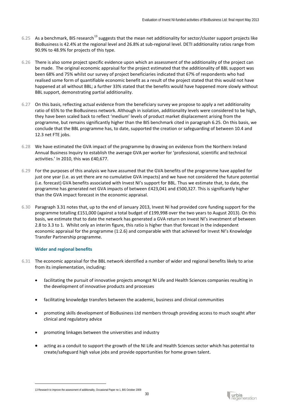- 6.25 As a benchmark, BIS research<sup>[13](#page-31-0)</sup> suggests that the mean net additionality for sector/cluster support projects like BioBusiness is 42.4% at the regional level and 26.8% at sub-regional level. DETI additionality ratios range from 90.9% to 48.9% for projects of this type.
- 6.26 There is also some project specific evidence upon which an assessment of the additionality of the project can be made. The original economic appraisal for the project estimated that the additionality of BBL support was been 68% and 75% whilst our survey of project beneficiaries indicated that 67% of respondents who had realised some form of quantifiable economic benefit as a result of the project stated that this would not have happened at all without BBL; a further 33% stated that the benefits would have happened more slowly without BBL support, demonstrating partial additionality.
- 6.27 On this basis, reflecting actual evidence from the beneficiary survey we propose to apply a net additionality ratio of 65% to the BioBusiness network. Although in isolation, additionality levels were considered to be high, they have been scaled back to reflect 'medium' levels of product market displacement arising from the programme, but remains significantly higher than the BIS benchmark cited in paragraph 6.25. On this basis, we conclude that the BBL programme has, to date, supported the creation or safeguarding of between 10.4 and 12.3 net FTE jobs.
- 6.28 We have estimated the GVA impact of the programme by drawing on evidence from the Northern Ireland Annual Business Inquiry to establish the average GVA per worker for 'professional, scientific and technical activities.' In 2010, this was £40,677.
- 6.29 For the purposes of this analysis we have assumed that the GVA benefits of the programme have applied for just one year (i.e. as yet there are no cumulative GVA impacts) and we have not considered the future potential (i.e. forecast) GVA benefits associated with Invest NI's support for BBL. Thus we estimate that, to date, the programme has generated net GVA impacts of between £423,041 and £500,327. This is significantly higher than the GVA impact forecast in the economic appraisal.
- 6.30 Paragraph 3.31 notes that, up to the end of January 2013, Invest NI had provided core funding support for the programme totalling £151,000 (against a total budget of £199,998 over the two years to August 2013). On this basis, we estimate that to date the network has generated a GVA return on Invest NI's investment of between 2.8 to 3.3 to 1. Whilst only an interim figure, this ratio is higher than that forecast in the independent economic appraisal for the programme (1:2.6) and comparable with that achieved for Invest NI's Knowledge Transfer Partnership programme.

# **Wider and regional benefits**

- 6.31 The economic appraisal for the BBL network identified a number of wider and regional benefits likely to arise from its implementation, including:
	- facilitating the pursuit of innovative projects amongst NI Life and Health Sciences companies resulting in the development of innovative products and processes
	- facilitating knowledge transfers between the academic, business and clinical communities
	- promoting skills development of BioBusiness Ltd members through providing access to much sought after clinical and regulatory advice
	- promoting linkages between the universities and industry
	- acting as a conduit to support the growth of the NI Life and Health Sciences sector which has potential to create/safeguard high value jobs and provide opportunities for home grown talent.

<span id="page-31-0"></span><sup>13</sup> Research to improve the assessment of additionality, Occasional Paper no 1, BIS October 2009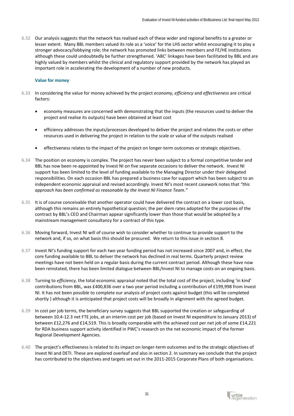6.32 Our analysis suggests that the network has realised each of these wider and regional benefits to a greater or lesser extent. Many BBL members valued its role as a 'voice' for the LHS sector whilst encouraging it to play a stronger advocacy/lobbying role; the network has promoted links between members and FE/HE institutions although these could undoubtedly be further strengthened. 'ABC' linkages have been facilitated by BBL and are highly valued by members whilst the clinical and regulatory support provided by the network has played an important role in accelerating the development of a number of new products.

## **Value for money**

- 6.33 In considering the value for money achieved by the project *economy, efficiency* and *effectiveness* are critical factors:
	- economy measures are concerned with demonstrating that the inputs (the resources used to deliver the project and realise its outputs) have been obtained at least cost
	- efficiency addresses the inputs/processes developed to deliver the project and relates the costs or other resources used in delivering the project in relation to the scale or value of the outputs realised
	- effectiveness relates to the impact of the project on longer-term outcomes or strategic objectives.
- 6.34 The position on economy is complex. The project has never been subject to a formal competitive tender and BBL has now been re-appointed by Invest NI on five separate occasions to deliver the network. Invest NI support has been limited to the level of funding available to the Managing Director under their delegated responsibilities. On each occasion BBL has prepared a business case for support which has been subject to an independent economic appraisal and revised accordingly. Invest NI's most recent casework notes that *"this approach has been confirmed as reasonable by the Invest NI Finance Team."*
- 6.35 It is of course conceivable that another operator could have delivered the contract on a lower cost basis, although this remains an entirely hypothetical question; the per diem rates adopted for the purposes of the contract by BBL's CEO and Chairman appear significantly lower than those that would be adopted by a mainstream management consultancy for a contract of this type.
- 6.36 Moving forward, Invest NI will of course wish to consider whether to continue to provide support to the network and, if so, on what basis this should be procured. We return to this issue in section 8.
- 6.37 Invest NI's funding support for each two year funding period has not increased since 2007 and, in effect, the core funding available to BBL to deliver the network has declined in real terms. Quarterly project review meetings have not been held on a regular basis during the current contract period. Although these have now been reinstated, there has been limited dialogue between BBL/Invest NI to manage costs on an ongoing basis.
- 6.38 Turning to *efficiency*, the total economic appraisal noted that the total cost of the project, including 'in kind' contributions from BBL, was £400,836 over a two year period including a contribution of £199,998 from Invest NI. It has not been possible to complete our analysis of project costs against budget (this will be completed shortly ) although it is anticipated that project costs will be broadly in alignment with the agreed budget.
- 6.39 In cost per job terms, the beneficiary survey suggests that BBL supported the creation or safeguarding of between 10.4-12.3 net FTE jobs, at an interim cost per job (based on Invest NI expenditure to January 2013) of between £12,276 and £14,519. This is broadly comparable with the achieved cost per net job of some £14,221 for RDA business support activity identified in PWC's research on the net economic impact of the former Regional Development Agencies.
- 6.40 The project's effectiveness is related to its impact on longer-term outcomes and to the strategic objectives of Invest NI and DETI. These are explored overleaf and also in section 2. In summary we conclude that the project has contributed to the objectives and targets set out in the 2011-2015 Corporate Plans of both organisations.

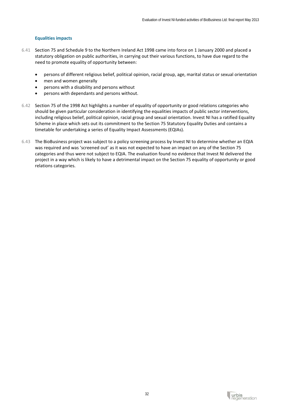## **Equalities impacts**

- 6.41 Section 75 and Schedule 9 to the Northern Ireland Act 1998 came into force on 1 January 2000 and placed a statutory obligation on public authorities, in carrying out their various functions, to have due regard to the need to promote equality of opportunity between:
	- persons of different religious belief, political opinion, racial group, age, marital status or sexual orientation
	- men and women generally
	- persons with a disability and persons without
	- persons with dependants and persons without.
- 6.42 Section 75 of the 1998 Act highlights a number of equality of opportunity or good relations categories who should be given particular consideration in identifying the equalities impacts of public sector interventions, including religious belief, political opinion, racial group and sexual orientation. Invest NI has a ratified Equality Scheme in place which sets out its commitment to the Section 75 Statutory Equality Duties and contains a timetable for undertaking a series of Equality Impact Assessments (EQIAs).
- 6.43 The BioBusiness project was subject to a policy screening process by Invest NI to determine whether an EQIA was required and was 'screened out' as it was not expected to have an impact on any of the Section 75 categories and thus were not subject to EQIA. The evaluation found no evidence that Invest NI delivered the project in a way which is likely to have a detrimental impact on the Section 75 equality of opportunity or good relations categories.

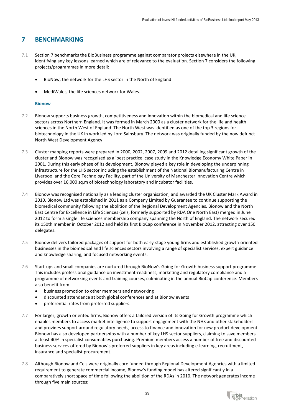# **7 BENCHMARKING**

- 7.1 Section 7 benchmarks the BioBusiness programme against comparator projects elsewhere in the UK, identifying any key lessons learned which are of relevance to the evaluation. Section 7 considers the following projects/programmes in more detail:
	- BioNow, the network for the LHS sector in the North of England
	- MediWales, the life sciences network for Wales.

# **Bionow**

- 7.2 Bionow supports business growth, competitiveness and innovation within the biomedical and life science sectors across Northern England. It was formed in March 2000 as a cluster network for the life and health sciences in the North West of England. The North West was identified as one of the top 3 regions for biotechnology in the UK in work led by Lord Sainsbury. The network was originally funded by the now defunct North West Development Agency
- 7.3 Cluster mapping reports were prepared in 2000, 2002, 2007, 2009 and 2012 detailing significant growth of the cluster and Bionow was recognised as a 'best practice' case study in the Knowledge Economy White Paper in 2001. During this early phase of its development, Bionow played a key role in developing the underpinning infrastructure for the LHS sector including the establishment of the National Biomanufacturing Centre in Liverpool and the Core Technology Facility, part of the University of Manchester Innovation Centre which provides over 16,000 sq.m of biotechnology laboratory and incubator facilities.
- 7.4 Bionow was recognised nationally as a leading cluster organisation, and awarded the UK Cluster Mark Award in 2010. Bionow Ltd was established in 2011 as a Company Limited by Guarantee to continue supporting the biomedical community following the abolition of the Regional Development Agencies. Bionow and the North East Centre for Excellence in Life Sciences (cels, formerly supported by RDA One North East) merged in June 2012 to form a single life sciences membership company spanning the North of England. The network secured its 150th member in October 2012 and held its first BioCap conference in November 2012, attracting over 150 delegates.
- 7.5 Bionow delivers tailored packages of support for both early-stage young firms and established growth-oriented businesses in the biomedical and life sciences sectors involving a range of specialist services, expert guidance and knowledge sharing, and focused networking events.
- 7.6 Start-ups and small companies are nurtured through BioNow's Going for Growth business support programme. This includes professional guidance on investment-readiness, marketing and regulatory compliance and a programme of networking events and training courses, culminating in the annual BioCap conference. Members also benefit from
	- business promotion to other members and networking
	- discounted attendance at both global conferences and at Bionow events
	- preferential rates from preferred suppliers.
- 7.7 For larger, growth oriented firms, Bionow offers a tailored version of its Going for Growth programme which enables members to access market intelligence to support engagement with the NHS and other stakeholders and provides support around regulatory needs, access to finance and innovation for new product development. Bionow has also developed partnerships with a number of key LHS sector suppliers, claiming to save members at least 40% in specialist consumables purchasing. Premium members access a number of free and discounted business services offered by Bionow's preferred suppliers in key areas including e-learning, recruitment, insurance and specialist procurement.
- 7.8 Although Bionow and Cels were originally core funded through Regional Development Agencies with a limited requirement to generate commercial income, Bionow's funding model has altered significantly in a comparatively short space of time following the abolition of the RDAs in 2010. The network generates income through five main sources:

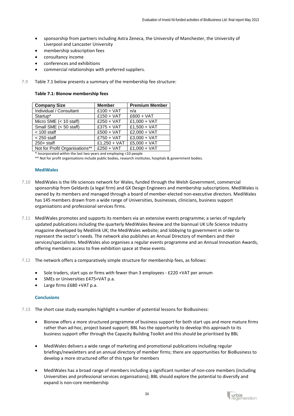- sponsorship from partners including Astra Zeneca, the University of Manchester, the University of Liverpool and Lancaster University
- membership subscription fees
- consultancy income
- conferences and exhibitions
- commercial relationships with preferred suppliers.
- 7.9 Table 7.1 below presents a summary of the membership fee structure:

| Table 7.1: Bionow membership fees |
|-----------------------------------|
|-----------------------------------|

| <b>Company Size</b>              | <b>Member</b> | <b>Premium Member</b> |
|----------------------------------|---------------|-----------------------|
| Individual / Consultant          | $£100 + VAT$  | n/a                   |
| Startup*                         | $£150 + VAT$  | $£600 + VAT$          |
| Micro SME $(< 10 \text{ staff})$ | $£250 + VAT$  | $£1,000 + VAT$        |
| Small SME (< 50 staff)           | $£375 + VAT$  | $£1,500 + VAT$        |
| $<$ 100 staff                    | $£500 + VAT$  | $£2,000 + VAT$        |
| $<$ 250 staff                    | $£750 + VAT$  | $£3,000 + VAT$        |
| $250+$ staff                     | £1,250 + VAT  | $£5,000 + VAT$        |
| Not for Profit Organisations**   | $£250 + VAT$  | $£1,000 + VAT$        |

\* Incorporated within the last two years and employing <10 people

\*\* Not for profit organisations include public bodies, research institutes, hospitals & government bodies.

#### **MediWales**

- 7.10 MediWales is the life sciences network for Wales, funded through the Welsh Government, commercial sponsorship from Geldards (a legal firm) and GX Design Engineers and membership subscriptions. MediWales is owned by its members and managed through a board of member-elected non-executive directors. MediWales has 145 members drawn from a wide range of Universities, businesses, clinicians, business support organisations and professional services firms.
- 7.11 MediWales promotes and supports its members via an extensive events programme; a series of regularly updated publications including the quarterly MediWales Review and the biannual UK Life Science Industry magazine developed by Medilink UK; the MediWales website; and lobbying to government in order to represent the sector's needs. The network also publishes an Annual Directory of members and their services/specialisms. MediWales also organises a regular events programme and an Annual Innovation Awards, offering members access to free exhibition space at these events.
- 7.12 The network offers a comparatively simple structure for membership fees, as follows[:](http://www.bionow.co.uk/membership/establisedandgrowingcompanies.aspx)
	- Sole traders, start ups or firms with fewer than 3 employees £220 +VAT per annum
	- SMEs or Universities £475+VAT p.a.
	- Large firms £680 +VAT p.a.

#### **Conclusions**

7.13 The short case study examples highlight a number of potential lessons for BioBusiness:

- Bionow offers a more structured programme of business support for both start ups and more mature firms rather than ad-hoc, project based support; BBL has the opportunity to develop this approach to its business support offer through the Capacity Building Toolkit and this should be prioritised by BBL
- MediWales delivers a wide range of marketing and promotional publications including regular briefings/newsletters and an annual directory of member firms; there are opportunities for BioBusiness to develop a more structured offer of this type for members
- MediWales has a broad range of members including a significant number of non-core members (including Universities and professional services organisations); BBL should explore the potential to diversify and expand is non-core membership

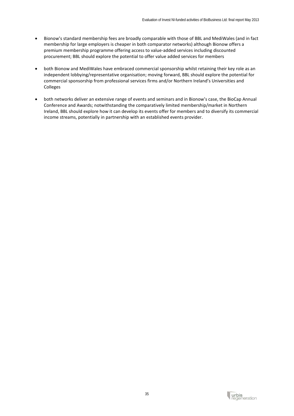- Bionow's standard membership fees are broadly comparable with those of BBL and MediWales (and in fact membership for large employers is cheaper in both comparator networks) although Bionow offers a premium membership programme offering access to value-added services including discounted procurement; BBL should explore the potential to offer value added services for members
- both Bionow and MediWales have embraced commercial sponsorship whilst retaining their key role as an independent lobbying/representative organisation; moving forward, BBL should explore the potential for commercial sponsorship from professional services firms and/or Northern Ireland's Universities and Colleges
- both networks deliver an extensive range of events and seminars and in Bionow's case, the BioCap Annual Conference and Awards; notwithstanding the comparatively limited membership/market in Northern Ireland, BBL should explore how it can develop its events offer for members and to diversify its commercial income streams, potentially in partnership with an established events provider.

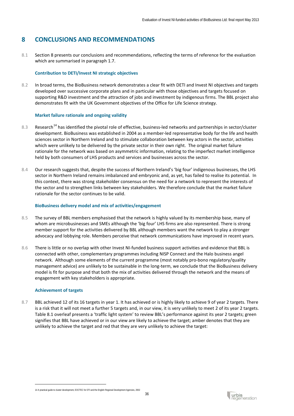# **8 CONCLUSIONS AND RECOMMENDATIONS**

8.1 Section 8 presents our conclusions and recommendations, reflecting the terms of reference for the evaluation which are summarised in paragraph 1.7.

# **Contribution to DETI/Invest NI strategic objectives**

8.2 In broad terms, the BioBusiness network demonstrates a clear fit with DETI and Invest NI objectives and targets developed over successive corporate plans and in particular with those objectives and targets focused on supporting R&D investment and the attraction of jobs and investment by indigenous firms. The BBL project also demonstrates fit with the UK Government objectives of the Office for Life Science strategy.

# **Market failure rationale and ongoing validity**

- 8.3 Research<sup>[14](#page-37-0)</sup> has identified the pivotal role of effective, business-led networks and partnerships in sector/cluster development. BioBusiness was established in 2004 as a member-led representative body for the life and health sciences sector in Northern Ireland and to stimulate collaboration between key actors in the sector, activities which were unlikely to be delivered by the private sector in their own right. The original market failure rationale for the network was based on asymmetric information, relating to the imperfect market intelligence held by both consumers of LHS products and services and businesses across the sector.
- 8.4 Our research suggests that, despite the success of Northern Ireland's 'big four' indigenous businesses, the LHS sector in Northern Ireland remains imbalanced and embryonic and, as yet, has failed to realise its potential. In this context, there was strong stakeholder consensus on the need for a network to represent the interests of the sector and to strengthen links between key stakeholders. We therefore conclude that the market failure rationale for the sector continues to be valid.

# **BioBusiness delivery model and mix of activities/engagement**

- 8.5 The survey of BBL members emphasised that the network is highly valued by its membership base, many of whom are microbusinesses and SMEs although the 'big four' LHS firms are also represented. There is strong member support for the activities delivered by BBL although members want the network to play a stronger advocacy and lobbying role. Members perceive that network communications have improved in recent years.
- 8.6 There is little or no overlap with other Invest NI-funded business support activities and evidence that BBL is connected with other, complementary programmes including NISP Connect and the Halo business angel network. Although some elements of the current programme (most notably pro-bono regulatory/quality management advice) are unlikely to be sustainable in the long-term, we conclude that the BioBusiness delivery model is fit for purpose and that both the mix of activities delivered through the network and the means of engagement with key stakeholders is appropriate.

# **Achievement of targets**

<u>.</u>

8.7 BBL achieved 12 of its 16 targets in year 1. It has achieved or is highly likely to achieve 9 of year 2 targets. There is a risk that it will not meet a further 5 targets and, in our view, it is very unlikely to meet 2 of its year 2 targets. Table 8.1 overleaf presents a 'traffic light system' to review BBL's performance against its year 2 targets; green signifies that BBL have achieved or in our view are likely to achieve the target; amber denotes that they are unlikely to achieve the target and red that they are very unlikely to achieve the target:

<span id="page-37-0"></span>14 A practical guide to cluster development, EOCTEC for DTI and the English Regional Development Agencies, 2002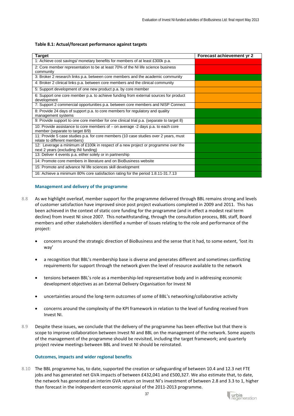#### **Table 8.1: Actual/forecast performance against targets**

| <b>Target</b>                                                                                                             | Forecast achievement yr 2 |
|---------------------------------------------------------------------------------------------------------------------------|---------------------------|
| 1: Achieve cost savings/ monetary benefits for members of at least £300k p.a.                                             |                           |
| 2: Core member representation to be at least 70% of the NI life science business<br>community                             |                           |
| 3: Broker 2 research links p.a. between core members and the academic community                                           |                           |
| 4: Broker 2 clinical links p.a. between core members and the clinical community                                           |                           |
| 5: Support development of one new product p.a. by core member                                                             |                           |
| 6: Support one core member p.a. to achieve funding from external sources for product<br>development                       |                           |
| 7: Support 2 commercial opportunities p.a. between core members and NISP Connect                                          |                           |
| 8: Provide 24 days of support p.a. to core members for regulatory and quality<br>management systems                       |                           |
| 9: Provide support to one core member for one clinical trial p.a. (separate to target 8)                                  |                           |
| 10: Provide assistance to core members of - on average -2 days p.a. to each core<br>member (separate to target 8/9)       |                           |
| 11: Provide 5 case studies p.a. for core members (10 case studies over 2 years, must<br>relate to different members)      |                           |
| 12: Leverage a minimum of £100k in respect of a new project or programme over the<br>next 2 years (excluding INI funding) |                           |
| 13: Deliver 4 events p.a. either solely or in partnership                                                                 |                           |
| 14: Promote core members in literature and on BioBusiness website                                                         |                           |
| 15: Promote and advance NI life sciences skill development                                                                |                           |
| 16: Achieve a minimum 80% core satisfaction rating for the period 1.8.11-31.7.13                                          |                           |

#### **Management and delivery of the programme**

- 8.8 As we highlight overleaf, member support for the programme delivered through BBL remains strong and levels of customer satisfaction have improved since post project evaluations completed in 2009 and 2011. This has been achieved in the context of static core funding for the programme (and in effect a modest real term decline) from Invest NI since 2007. This notwithstanding, through the consultation process, BBL staff, Board members and other stakeholders identified a number of issues relating to the role and performance of the project:
	- concerns around the strategic direction of BioBusiness and the sense that it had, to some extent, 'lost its way'
	- a recognition that BBL's membership base is diverse and generates different and sometimes conflicting requirements for support through the network given the level of resource available to the network
	- tensions between BBL's role as a membership-led representative body and in addressing economic development objectives as an External Delivery Organisation for Invest NI
	- uncertainties around the long-term outcomes of some of BBL's networking/collaborative activity
	- concerns around the complexity of the KPI framework in relation to the level of funding received from Invest NI.
- 8.9 Despite these issues, we conclude that the delivery of the programme has been effective but that there is scope to improve collaboration between Invest NI and BBL on the management of the network. Some aspects of the management of the programme should be revisited, including the target framework; and quarterly project review meetings between BBL and Invest NI should be reinstated.

#### **Outcomes, impacts and wider regional benefits**

8.10 The BBL programme has, to date, supported the creation or safeguarding of between 10.4 and 12.3 net FTE jobs and has generated net GVA impacts of between £432,041 and £500,327. We also estimate that, to date, the network has generated an interim GVA return on Invest NI's investment of between 2.8 and 3.3 to 1, higher than forecast in the independent economic appraisal of the 2011-2013 programme.

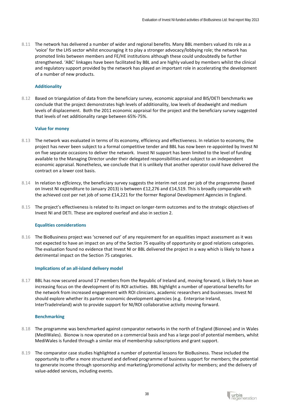8.11 The network has delivered a number of wider and regional benefits. Many BBL members valued its role as a 'voice' for the LHS sector whilst encouraging it to play a stronger advocacy/lobbying role; the network has promoted links between members and FE/HE institutions although these could undoubtedly be further strengthened. 'ABC' linkages have been facilitated by BBL and are highly valued by members whilst the clinical and regulatory support provided by the network has played an important role in accelerating the development of a number of new products.

# **Additionality**

8.12 Based on triangulation of data from the beneficiary survey, economic appraisal and BIS/DETI benchmarks we conclude that the project demonstrates high levels of additionality, low levels of deadweight and medium levels of displacement. Both the 2011 economic appraisal for the project and the beneficiary survey suggested that levels of net additionality range between 65%-75%.

# **Value for money**

- 8.13 The network was evaluated in terms of its economy, efficiency and effectiveness. In relation to economy, the project has never been subject to a formal competitive tender and BBL has now been re-appointed by Invest NI on five separate occasions to deliver the network. Invest NI support has been limited to the level of funding available to the Managing Director under their delegated responsibilities and subject to an independent economic appraisal. Nonetheless, we conclude that it is unlikely that another operator could have delivered the contract on a lower cost basis.
- 8.14 In relation to *efficiency*, the beneficiary survey suggests the interim net cost per job of the programme (based on Invest NI expenditure to January 2013) is between £12,276 and £14,519. This is broadly comparable with the achieved cost per net job of some £14,221 for the former Regional Development Agencies in England.
- 8.15 The project's effectiveness is related to its impact on longer-term outcomes and to the strategic objectives of Invest NI and DETI. These are explored overleaf and also in section 2.

# **Equalities considerations**

8.16 The BioBusiness project was 'screened out' of any requirement for an equalities impact assessment as it was not expected to have an impact on any of the Section 75 equality of opportunity or good relations categories. The evaluation found no evidence that Invest NI or BBL delivered the project in a way which is likely to have a detrimental impact on the Section 75 categories.

# **Implications of an all-island delivery model**

8.17 BBL has now secured around 17 members from the Republic of Ireland and, moving forward, is likely to have an increasing focus on the development of its ROI activities. BBL highlight a number of operational benefits for the network from increased engagement with ROI clinicians, academic researchers and businesses. Invest NI should explore whether its partner economic development agencies (e.g. Enterprise Ireland, InterTradeIreland) wish to provide support for NI/ROI collaborative activity moving forward.

#### **Benchmarking**

- 8.18 The programme was benchmarked against comparator networks in the north of England (Bionow) and in Wales (MediWales). Bionow is now operated on a commercial basis and has a large pool of potential members, whilst MediWales is funded through a similar mix of membership subscriptions and grant support.
- 8.19 The comparator case studies highlighted a number of potential lessons for BioBusiness. These included the opportunity to offer a more structured and defined programme of business support for members; the potential to generate income through sponsorship and marketing/promotional activity for members; and the delivery of value-added services, including events.

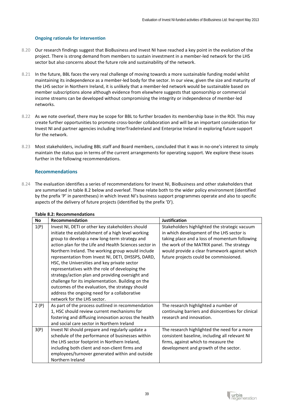## **Ongoing rationale for intervention**

- 8.20 Our research findings suggest that BioBusiness and Invest NI have reached a key point in the evolution of the project. There is strong demand from members to sustain investment in a member-led network for the LHS sector but also concerns about the future role and sustainability of the network.
- 8.21 In the future, BBL faces the very real challenge of moving towards a more sustainable funding model whilst maintaining its independence as a member-led body for the sector. In our view, given the size and maturity of the LHS sector in Northern Ireland, it is unlikely that a member-led network would be sustainable based on member subscriptions alone although evidence from elsewhere suggests that sponsorship or commercial income streams can be developed without compromising the integrity or independence of member-led networks.
- 8.22 As we note overleaf, there may be scope for BBL to further broaden its membership base in the ROI. This may create further opportunities to promote cross-border collaboration and will be an important consideration for Invest NI and partner agencies including InterTradeIreland and Enterprise Ireland in exploring future support for the network.
- 8.23 Most stakeholders, including BBL staff and Board members, concluded that it was in no-one's interest to simply maintain the status quo in terms of the current arrangements for operating support. We explore these issues further in the following recommendations.

# **Recommendations**

8.24 The evaluation identifies a series of recommendations for Invest NI, BioBusiness and other stakeholders that are summarised in table 8.2 below and overleaf. These relate both to the wider policy environment (identified by the prefix 'P' in parentheses) in which Invest NI's business support programmes operate and also to specific aspects of the delivery of future projects (identified by the prefix 'D').

| No   | Recommendation                                                                                                                                                                                                                                                                                                                                                                                                                                                                                                                                                                                                                                                             | <b>Justification</b>                                                                                                                                                                                                                                                                 |
|------|----------------------------------------------------------------------------------------------------------------------------------------------------------------------------------------------------------------------------------------------------------------------------------------------------------------------------------------------------------------------------------------------------------------------------------------------------------------------------------------------------------------------------------------------------------------------------------------------------------------------------------------------------------------------------|--------------------------------------------------------------------------------------------------------------------------------------------------------------------------------------------------------------------------------------------------------------------------------------|
| 1(P) | Invest NI, DETI or other key stakeholders should<br>initiate the establishment of a high level working<br>group to develop a new long-term strategy and<br>action plan for the Life and Health Sciences sector in<br>Northern Ireland. The working group would include<br>representation from Invest NI, DETI, DHSSPS, DARD,<br>HSC, the Universities and key private sector<br>representatives with the role of developing the<br>strategy/action plan and providing oversight and<br>challenge for its implementation. Building on the<br>outcomes of the evaluation, the strategy should<br>address the ongoing need for a collaborative<br>network for the LHS sector. | Stakeholders highlighted the strategic vacuum<br>in which development of the LHS sector is<br>taking place and a loss of momentum following<br>the work of the MATRIX panel. The strategy<br>would provide a clear framework against which<br>future projects could be commissioned. |
| 2(P) | As part of the process outlined in recommendation<br>1, HSC should review current mechanisms for<br>fostering and diffusing innovation across the health<br>and social care sector in Northern Ireland                                                                                                                                                                                                                                                                                                                                                                                                                                                                     | The research highlighted a number of<br>continuing barriers and disincentives for clinical<br>research and innovation.                                                                                                                                                               |
| 3(P) | Invest NI should prepare and regularly update a<br>schedule of the performance of businesses within<br>the LHS sector footprint in Northern Ireland,<br>including both client and non-client firms and<br>employees/turnover generated within and outside<br>Northern Ireland                                                                                                                                                                                                                                                                                                                                                                                              | The research highlighted the need for a more<br>consistent baseline, including all relevant NI<br>firms, against which to measure the<br>development and growth of the sector.                                                                                                       |

# **Table 8.2: Recommendations**

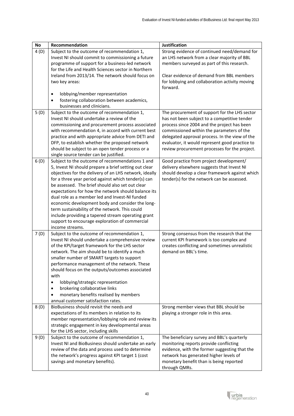| <b>No</b> | Recommendation                                                                                       | <b>Justification</b>                                                                          |
|-----------|------------------------------------------------------------------------------------------------------|-----------------------------------------------------------------------------------------------|
| 4(D)      | Subject to the outcome of recommendation 1,                                                          | Strong evidence of continued need/demand for                                                  |
|           | Invest NI should commit to commissioning a future                                                    | an LHS network from a clear majority of BBL                                                   |
|           | programme of support for a business-led network                                                      | members surveyed as part of this research.                                                    |
|           | for the Life and Health Sciences sector in Northern                                                  |                                                                                               |
|           | Ireland from 2013/14. The network should focus on                                                    | Clear evidence of demand from BBL members                                                     |
|           | two key areas:                                                                                       | for lobbying and collaboration activity moving                                                |
|           |                                                                                                      | forward.                                                                                      |
|           | lobbying/member representation<br>$\bullet$                                                          |                                                                                               |
|           | fostering collaboration between academics,                                                           |                                                                                               |
|           | businesses and clinicians.                                                                           |                                                                                               |
| 5(D)      | Subject to the outcome of recommendation 1,<br>Invest NI should undertake a review of the            | The procurement of support for the LHS sector<br>has not been subject to a competitive tender |
|           | commissioning and procurement process associated                                                     | process since 2004 and the project has been                                                   |
|           | with recommendation 4, in accord with current best                                                   | commissioned within the parameters of the                                                     |
|           | practice and with appropriate advice from DETI and                                                   | delegated approval process. In the view of the                                                |
|           | DFP, to establish whether the proposed network                                                       | evaluator, it would represent good practice to                                                |
|           | should be subject to an open tender process or a                                                     | review procurement processes for the project.                                                 |
|           | single source tender can be justified.                                                               |                                                                                               |
| 6(D)      | Subject to the outcome of recommendations 1 and                                                      | Good practice from project development/                                                       |
|           | 5, Invest NI should prepare a brief setting out clear                                                | delivery elsewhere suggests that Invest NI                                                    |
|           | objectives for the delivery of an LHS network, ideally                                               | should develop a clear framework against which                                                |
|           | for a three year period against which tender(s) can                                                  | tender(s) for the network can be assessed.                                                    |
|           | be assessed. The brief should also set out clear                                                     |                                                                                               |
|           | expectations for how the network should balance its                                                  |                                                                                               |
|           | dual role as a member led and Invest-NI funded                                                       |                                                                                               |
|           | economic development body and consider the long-                                                     |                                                                                               |
|           | term sustainability of the network. This could                                                       |                                                                                               |
|           | include providing a tapered stream operating grant<br>support to encourage exploration of commercial |                                                                                               |
|           | income streams.                                                                                      |                                                                                               |
| 7(D)      | Subject to the outcome of recommendation 1,                                                          | Strong consensus from the research that the                                                   |
|           | Invest NI should undertake a comprehensive review                                                    | current KPI framework is too complex and                                                      |
|           | of the KPI/target framework for the LHS sector                                                       | creates conflicting and sometimes unrealistic                                                 |
|           | network. The aim should be to identify a much                                                        | demand on BBL's time.                                                                         |
|           | smaller number of SMART targets to support                                                           |                                                                                               |
|           | performance management of the network. These                                                         |                                                                                               |
|           | should focus on the outputs/outcomes associated                                                      |                                                                                               |
|           | with                                                                                                 |                                                                                               |
|           | lobbying/strategic representation                                                                    |                                                                                               |
|           | brokering collaborative links<br>$\bullet$                                                           |                                                                                               |
|           | monetary benefits realised by members<br>annual customer satisfaction rates.                         |                                                                                               |
| 8(D)      | BioBusiness should revisit the needs and                                                             | Strong member views that BBL should be                                                        |
|           | expectations of its members in relation to its                                                       | playing a stronger role in this area.                                                         |
|           | member representation/lobbying role and review its                                                   |                                                                                               |
|           | strategic engagement in key developmental areas                                                      |                                                                                               |
|           | for the LHS sector, including skills                                                                 |                                                                                               |
| 9(D)      | Subject to the outcome of recommendation 1,                                                          | The beneficiary survey and BBL's quarterly                                                    |
|           | Invest NI and BioBusiness should undertake an early                                                  | monitoring reports provide conflicting                                                        |
|           | review of the data and process used to determine                                                     | evidence, with the former suggesting that the                                                 |
|           | the network's progress against KPI target 1 (cost                                                    | network has generated higher levels of                                                        |
|           | savings and monetary benefits).                                                                      | monetary benefit than is being reported                                                       |
|           |                                                                                                      | through QMRs.                                                                                 |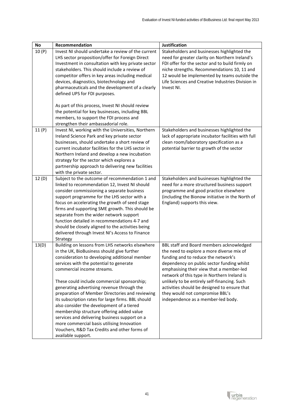| <b>No</b> | Recommendation                                                        | <b>Justification</b>                                                                    |
|-----------|-----------------------------------------------------------------------|-----------------------------------------------------------------------------------------|
| 10(P)     | Invest NI should undertake a review of the current                    | Stakeholders and businesses highlighted the                                             |
|           | LHS sector proposition/offer for Foreign Direct                       | need for greater clarity on Northern Ireland's                                          |
|           | Investment in consultation with key private sector                    | FDI offer for the sector and to build firmly on                                         |
|           | stakeholders. This should include a review of                         | niche strengths. Recommendations 10, 11 and                                             |
|           | competitor offers in key areas including medical                      | 12 would be implemented by teams outside the                                            |
|           | devices, diagnostics, biotechnology and                               | Life Sciences and Creative Industries Division in                                       |
|           | pharmaceuticals and the development of a clearly                      | Invest NI.                                                                              |
|           | defined UPS for FDI purposes.                                         |                                                                                         |
|           | As part of this process, Invest NI should review                      |                                                                                         |
|           | the potential for key businesses, including BBL                       |                                                                                         |
|           | members, to support the FDI process and                               |                                                                                         |
|           | strengthen their ambassadorial role.                                  |                                                                                         |
| 11(P)     | Invest NI, working with the Universities, Northern                    | Stakeholders and businesses highlighted the                                             |
|           | Ireland Science Park and key private sector                           | lack of appropriate incubator facilities with full                                      |
|           | businesses, should undertake a short review of                        | clean room/laboratory specification as a                                                |
|           | current incubator facilities for the LHS sector in                    | potential barrier to growth of the sector                                               |
|           | Northern Ireland and develop a new incubation                         |                                                                                         |
|           | strategy for the sector which explores a                              |                                                                                         |
|           | partnership approach to delivering new facilities                     |                                                                                         |
|           | with the private sector.                                              |                                                                                         |
| 12 (D)    | Subject to the outcome of recommendation 1 and                        | Stakeholders and businesses highlighted the                                             |
|           | linked to recommendation 12, Invest NI should                         | need for a more structured business support                                             |
|           | consider commissioning a separate business                            | programme and good practice elsewhere                                                   |
|           | support programme for the LHS sector with a                           | (including the Bionow initiative in the North of                                        |
|           | focus on accelerating the growth of seed stage                        | England) supports this view.                                                            |
|           | firms and supporting SME growth. This should be                       |                                                                                         |
|           | separate from the wider network support                               |                                                                                         |
|           | function detailed in recommendations 4-7 and                          |                                                                                         |
|           | should be closely aligned to the activities being                     |                                                                                         |
|           | delivered through Invest NI's Access to Finance                       |                                                                                         |
|           | Strategy                                                              |                                                                                         |
| 13(D)     | Building on lessons from LHS networks elsewhere                       | BBL staff and Board members acknowledged                                                |
|           | in the UK, BioBusiness should give further                            | the need to explore a more diverse mix of                                               |
|           | consideration to developing additional member                         | funding and to reduce the network's                                                     |
|           | services with the potential to generate<br>commercial income streams. | dependency on public sector funding whilst                                              |
|           |                                                                       | emphasising their view that a member-led<br>network of this type in Northern Ireland is |
|           | These could include commercial sponsorship;                           | unlikely to be entirely self-financing. Such                                            |
|           | generating advertising revenue through the                            | activities should be designed to ensure that                                            |
|           | preparation of Member Directories and reviewing                       | they would not compromise BBL's                                                         |
|           | its subscription rates for large firms. BBL should                    | independence as a member-led body.                                                      |
|           | also consider the development of a tiered                             |                                                                                         |
|           | membership structure offering added value                             |                                                                                         |
|           | services and delivering business support on a                         |                                                                                         |
|           | more commercial basis utilising Innovation                            |                                                                                         |
|           | Vouchers, R&D Tax Credits and other forms of                          |                                                                                         |
|           | available support.                                                    |                                                                                         |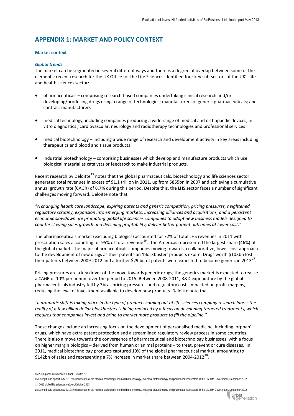# **APPENDIX 1: MARKET AND POLICY CONTEXT**

# **Market context**

## *Global trends*

The market can be segmented in several different ways and there is a degree of overlap between some of the elements; recent research for the UK Office for the Life Sciences identified four key sub-sectors of the UK's life and health sciences sector:

- pharmaceuticals comprising research-based companies undertaking clinical research and/or developing/producing drugs using a range of technologies; manufacturers of generic pharmaceuticals; and contract manufacturers
- medical technology, including companies producing a wide range of medical and orthopaedic devices, invitro diagnostics , cardiovascular, neurology and radiotherapy technologies and professional services
- medical biotechnology including a wide range of research and development activity in key areas including therapeutics and blood and tissue products
- Industrial biotechnology comprising businesses which develop and manufacture products which use biological material as catalysts or feedstock to make industrial products.

Recent research by Deloitte<sup>[15](#page-43-0)</sup> notes that the global pharmaceuticals, biotechnology and life sciences sector generated total revenues in excess of \$1.1 trillion in 2011, up from \$855bn in 2007 and achieving a cumulative annual growth rate (CAGR) of 6.7% during this period. Despite this, the LHS sector faces a number of significant challenges moving forward: Deloitte note that

*"A changing health care landscape, expiring patents and generic competition, pricing pressures, heightened regulatory scrutiny, expansion into emerging markets, increasing alliances and acquisitions, and a persistent economic slowdown are prompting global life sciences companies to adopt new business models designed to counter slowing sales growth and declining profitability, deliver better patient outcomes at lower cost."*

The pharmaceuticals market (excluding biologics) accounted for 72% of total LHS revenues in 2011 with prescription sales accounting for 95% of total revenue<sup>[16](#page-43-1)</sup>. The Americas represented the largest share (46%) of the global market. The major pharmaceuticals companies moving towards a collaborative, lower-cost approach to the development of new drugs as their patents on 'blockbuster' products expire. Drugs worth \$103bn lost their patents between 2009-2012 and a further \$29 bn of patents were expected to become generic in 2013<sup>17</sup>.

Pricing pressures are a key driver of the move towards generic drugs; the generics market is expected to realise a CAGR of 10% per annum over the period to 2015. Between 2008-2011, R&D expenditure by the global pharmaceuticals industry fell by 3% as pricing pressures and regulatory costs impacted on profit margins, reducing the level of investment available to develop new products. Deloitte note that

*"a dramatic shift is taking place in the type of products coming out of life sciences company research labs – the reality of a few billion dollar blockbusters is being replaced by a focus on developing targeted treatments, which requires that companies invest and bring to market more products to fill the pipeline."*

These changes include an increasing focus on the development of personalised medicine, including 'orphan' drugs, which have extra patent protection and a streamlined regulatory review process in some countries. There is also a move towards the convergence of pharmaceutical and biotechnology businesses, with a focus on higher margin biologics – derived from human or animal proteins – to treat, prevent or cure diseases. In 2011, medical biotechnology products captured 19% of the global pharmaceutical market, amounting to \$142bn of sales and representing a 7% increase in market share between 2004-2012<sup>[18](#page-43-3)</sup>.

<u>.</u>

urbis<br>regeneration

<span id="page-43-0"></span><sup>15</sup> 2013 global life sciences outlook, Deloitte 2013

<span id="page-43-2"></span><span id="page-43-1"></span><sup>16</sup> Strength and opportunity 2012: the landscape of the medical technology, medical biotechnology, industrial biotechnology and pharmaceutical sectors in the UK, HM Government, December 2012 17 2013 global life sciences outlook, Deloitte 2013

<span id="page-43-3"></span><sup>18</sup> Strength and opportunity 2012: the landscape of the medical technology, medical biotechnology, industrial biotechnology and pharmaceutical sectors in the UK, HM Government, December 2012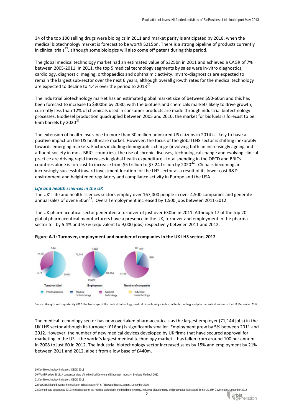34 of the top 100 selling drugs were biologics in 2011 and market parity is anticipated by 2018, when the medical biotechnology market is forecast to be worth \$215bn. There is a strong pipeline of products currently in clinical trials<sup>19</sup>, although some biologics will also come off patent during this period.

The global medical technology market had an estimated value of \$325bn in 2011 and achieved a CAGR of 7% between 2005-2011. In 2011, the top 5 medical technology segments by sales were in-vitro diagnostics, cardiology, diagnostic imaging, orthopaedics and ophthalmic activity. Invitro-diagnostics are expected to remain the largest sub-sector over the next 6 years, although overall growth rates for the medical technology are expected to decline to 4.4% over the period to  $2018^{20}$ .

The industrial biotechnology market has an estimated global market size of between \$50-60bn and this has been forecast to increase to \$300bn by 2030, with the biofuels and chemicals markets likely to drive growth; currently less than 12% of chemicals used in consumer products are made through industrial biotechnology processes. Biodiesel production quadrupled between 2005 and 2010; the market for biofuels is forecast to be 65m barrels by  $2020^{21}$  $2020^{21}$  $2020^{21}$ .

The extension of health insurance to more than 30 million uninsured US citizens in 2014 is likely to have a positive impact on the US healthcare market. However, the focus of the global LHS sector is shifting inexorably towards emerging markets. Factors including demographic change (involving both an increasingly ageing and affluent society in most BRICs countries), the rise of chronic diseases, technological change and evolving clinical practice are driving rapid increases in global health expenditure - total spending in the OECD and BRICs countries alone is forecast to increase from \$5 trillion to \$7.24 trillion by 2020<sup>[22](#page-44-3)</sup>. China is becoming an increasingly successful inward investment location for the LHS sector as a result of its lower cost R&D environment and heightened regulatory and compliance activity in Europe and the USA.

# *Life and health sciences in the UK*

The UK's life and health sciences sectors employ over 167,000 people in over 4,500 companies and generate annual sales of over  $£50bn^{23}$ . Overall employment increased by 1,500 jobs between 2011-2012.

The UK pharmaceutical sector generated a turnover of just over £30bn in 2011. Although 17 of the top 20 global pharmaceutical manufacturers have a presence in the UK, turnover and employment in the pharma sector fell by 5.4% and 9.7% (equivalent to 9,000 jobs) respectively between 2011 and 2012.





Source: Strength and opportunity 2012: the landscape of the medical technology, medical biotechnology, industrial biotechnology and pharmaceutical sectors in the UK, December 2012

The medical technology sector has now overtaken pharmaceuticals as the largest employer (71,144 jobs) in the UK LHS sector although its turnover (£16bn) is significantly smaller. Employment grew by 5% between 2011 and 2012. However, the number of new medical devices developed by UK firms that have secured approval for marketing in the US – the world's largest medical technology market – has fallen from around 100 per annum in 2008 to just 60 in 2012. The industrial biotechnology sector increased sales by 15% and employment by 21% between 2011 and 2012, albeit from a low base of £440m.

-

urbis<br>regeneration

<span id="page-44-0"></span><sup>19</sup> Key Biotechnology Indicators, OECD 2011

<span id="page-44-1"></span><sup>20</sup> World Preview 2018: A consensus view of the Medical Device and Diagnostic Industry, Evaluate Medtech 2012

<span id="page-44-2"></span><sup>21</sup> Key Biotechnology Indicators, OECD 2011

<span id="page-44-4"></span><span id="page-44-3"></span>**<sup>22</sup>** PWC: Build and beyond: the revolution in healthcare PPPs, PricewaterhouseCoopers, December 2010

<sup>23</sup> Strength and opportunity 2012: the landscape of the medical technology, medical biotechnology, industrial biotechnology and pharmaceutical sectors in the UK, HM Government, December 2012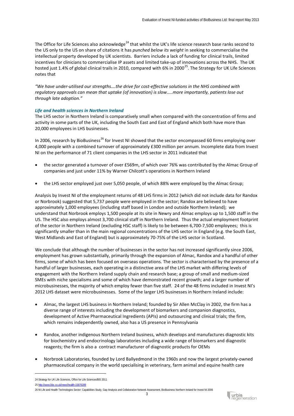The Office for Life Sciences also acknowledge<sup>[24](#page-45-0)</sup> that whilst the UK's life science research base ranks second to the US only to the US on share of citations it has *punched below its weight* in seeking to commercialise the intellectual property developed by UK scientists. Barriers include a lack of funding for clinical trails, limited incentives for clinicians to commercialise IP assets and limited take-up of innovations across the NHS. The UK hosted just 1.4% of global clinical trails in 2010, compared with 6% in 2000<sup>25</sup>. The Strategy for UK Life Sciences notes that

*"We have under-utilised our strengths….the drive for cost-effective solutions in the NHS combined with regulatory approvals can mean that uptake (of innovation) is slow…..more importantly, patients lose out through late adoption."*

# *Life and health sciences in Northern Ireland*

The LHS sector in Northern Ireland is comparatively small when compared with the concentration of firms and activity in some parts of the UK, including the South East and East of England which both have more than 20,000 employees in LHS businesses.

In 2006, research by BioBusiness<sup>[26](#page-45-2)</sup> for Invest NI showed that the sector encompassed 60 firms employing over 4,000 people with a combined turnover of approximately £300 million per annum. Incomplete data from Invest NI on the performance of 71 client companies in the LHS sector in 2011 indicated that

- the sector generated a turnover of over £569m, of which over 76% was contributed by the Almac Group of companies and just under 11% by Warner Chilcott's operations in Northern Ireland
- the LHS sector employed just over 5,050 people, of which 88% were employed by the Almac Group;

Analysis by Invest NI of the employment returns of 48 LHS firms in 2012 (which did not include data for Randox or Norbrook) suggested that 5,737 people were employed in the sector; Randox are believed to have approximately 1,000 employees (including staff based in London and outside Northern Ireland); we understand that Norbrook employs 1,500 people at its site in Newry and Almac employs up to 1,500 staff in the US. The HSC also employs almost 3,700 clinical staff in Northern Ireland. Thus the actual employment footprint of the sector in Northern Ireland (excluding HSC staff) is likely to be between 6,700-7,500 employees; this is significantly smaller than in the main regional concentrations of the LHS sector in England (e.g. the South East, West Midlands and East of England) but is approximately 70-75% of the LHS sector in Scotland.

We conclude that although the number of businesses in the sector has not increased significantly since 2006, employment has grown substantially, primarily through the expansion of Almac, Randox and a handful of other firms, some of which has been focused on overseas operations. The sector is characterised by the presence of a handful of larger businesses, each operating in a distinctive area of the LHS market with differing levels of engagement with the Northern Ireland supply chain and research base; a group of small and medium-sized SMEs with niche specialisms and some of which have demonstrated recent growth; and a larger number of microbusinesses, the majority of which employ fewer than five staff. 24 of the 48 firms included in Invest NI's 2012 LHS dataset were microbusinesses. Some of the larger LHS businesses in Northern Ireland include:

- Almac, the largest LHS business in Northern Ireland; founded by Sir Allen McClay in 2002, the firm has a diverse range of interests including the development of biomarkers and companion diagnostics, development of Active Pharmaceutical Ingredients (APIs) and outsourcing and clinical trials; the firm, which remains independently owned, also has a US presence in Pennsylvania
- Randox, another indigenous Northern Ireland business, which develops and manufactures diagnostic kits for biochemistry and endocrinology laboratories including a wide range of biomarkers and diagnostic reagents; the firm is also a contract manufacturer of diagnostic products for OEMs
- Norbrook Laboratories, founded by Lord Ballyedmond in the 1960s and now the largest privately-owned pharmaceutical company in the world specialising in veterinary, farm animal and equine health care

-

<span id="page-45-2"></span>26 NI Life and Health Technologies Sector: Capabilities Study, Gap Analysis and Collaborative Network Assessment, BioBusiness Northern Ireland for Invest NI 2006



<span id="page-45-0"></span><sup>24</sup> Strategy for UK Life Sciences, Office for Life Sciences/BIS 2011

<span id="page-45-1"></span><sup>25</sup> <http://www.bbc.co.uk/news/health-15876289>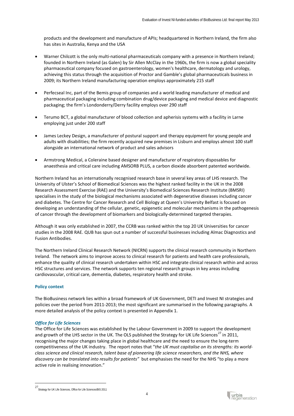products and the development and manufacture of APIs; headquartered in Northern Ireland, the firm also has sites in Australia, Kenya and the USA

- Warner Chilcott is the only multi-national pharmaceuticals company with a presence in Northern Ireland; founded in Northern Ireland (as Galen) by Sir Allen McClay in the 1960s, the firm is now a global speciality pharmaceutical company focused on gastroenterology, women's healthcare, dermatology and urology, achieving this status through the acquisition of Proctor and Gamble's global pharmaceuticals business in 2009; its Northern Ireland manufacturing operation employs approximately 215 staff
- Perfecseal Inc, part of the Bemis group of companies and a world leading manufacturer of medical and pharmaceutical packaging including combination drug/device packaging and medical device and diagnostic packaging; the firm's Londonderry/Derry facility employs over 290 staff
- Terumo BCT, a global manufacturer of blood collection and apherisis systems with a facility in Larne employing just under 200 staff
- James Leckey Design, a manufacturer of postural support and therapy equipment for young people and adults with disabilities; the firm recently acquired new premises in Lisburn and employs almost 100 staff alongside an international network of product and sales advisors
- Armstrong Medical, a Coleraine based designer and manufacturer of respiratory disposables for anaesthesia and critical care including AMSORB PLUS, a carbon dioxide absorbent patented worldwide.

Northern Ireland has an internationally recognised research base in several key areas of LHS research. The University of Ulster's School of Biomedical Sciences was the highest ranked facility in the UK in the 2008 Research Assessment Exercise (RAE) and the University's Biomedical Sciences Research Institute (BMSRI) specialises in the study of the biological mechanisms associated with degenerative diseases including cancer and diabetes. The Centre for Cancer Research and Cell Biology at Queen's University Belfast is focused on developing an understanding of the cellular, genetic, epigenetic and molecular mechanisms in the pathogenesis of cancer through the development of biomarkers and biologically-determined targeted therapies.

Although it was only established in 2007, the CCRB was ranked within the top 20 UK Universities for cancer studies in the 2008 RAE. QUB has spun out a number of successful businesses including Almac Diagnostics and Fusion Antibodies.

The Northern Ireland Clinical Research Network (NICRN) supports the clinical research community in Northern Ireland. The network aims to improve access to clinical research for patients and health care professionals, enhance the quality of clinical research undertaken within HSC and integrate clinical research within and across HSC structures and services. The network supports ten regional research groups in key areas including cardiovascular, critical care, dementia, diabetes, respiratory health and stroke.

# **Policy context**

The BioBusiness network lies within a broad framework of UK Government, DETI and Invest NI strategies and policies over the period from 2011-2013; the most significant are summarised in the following paragraphs. A more detailed analysis of the policy context is presented in Appendix 1.

# *Office for Life Sciences*

The Office for Life Sciences was established by the Labour Government in 2009 to support the development and growth of the LHS sector in the UK. The OLS published the Strategy for UK Life Sciences<sup>[27](#page-46-0)</sup> in 2011, recognising the major changes taking place in global healthcare and the need to ensure the long-term competitiveness of the UK industry. The report notes that "*the UK must capitalise on its strengths: its worldclass science and clinical research, talent base of pioneering life science researchers, and the NHS, where discovery can be translated into results for patients"* but emphasises the need for the NHS "to play a more active role in realising innovation."

<span id="page-46-0"></span><sup>27&</sup>lt;br>Strategy for UK Life Sciences, Office for Life Sciences/BIS 2011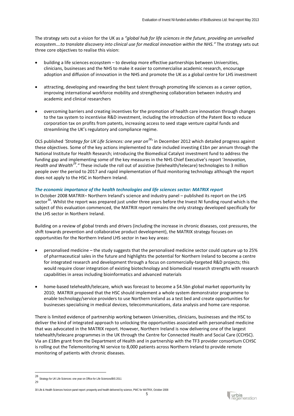The strategy sets out a vision for the UK as a *"global hub for life sciences in the future, providing an unrivalled ecosystem….to translate discovery into clinical use for medical innovation within the NHS."* The strategy sets out three core objectives to realise this vision:

- building a life sciences ecosystem to develop more effective partnerships between Universities, clinicians, businesses and the NHS to make it easier to commercialise academic research, encourage adoption and diffusion of innovation in the NHS and promote the UK as a global centre for LHS investment
- attracting, developing and rewarding the best talent through promoting life sciences as a career option, improving international workforce mobility and strengthening collaboration between industry and academic and clinical researchers
- overcoming barriers and creating incentives for the promotion of health care innovation through changes to the tax system to incentivise R&D investment, including the introduction of the Patent Box to reduce corporation tax on profits from patents, increasing access to seed stage venture capital funds and streamlining the UK's regulatory and compliance regime.

OLS published *'Strategy for UK Life Sciences: one year on[28](#page-47-0)'* in December 2012 which detailed progress against these objectives. Some of the key actions implemented to date included investing £1bn per annum through the National Institute for Health Research; introducing the Biomedical Catalyst investment fund to address the funding gap and implementing some of the key measures in the NHS Chief Executive's report '*Innovation, Health and Wealth[29](#page-47-1)."* These include the roll out of assistive (telehealth/telecare) technologies to 3 million people over the period to 2017 and rapid implementation of fluid monitoring technology although the report does not apply to the HSC in Northern Ireland.

# *The economic importance of the health technologies and life sciences sector: MATRIX report*

In October 2008 MATRIX– Northern Ireland's science and industry panel – published its report on the LHS sector<sup>[30](#page-47-2)</sup>. Whilst the report was prepared just under three years before the Invest NI funding round which is the subject of this evaluation commenced, the MATRIX report remains the only strategy developed specifically for the LHS sector in Northern Ireland.

Building on a review of global trends and drivers (including the increase in chronic diseases, cost pressures, the shift towards prevention and collaborative product development), the MATRIX strategy focuses on opportunities for the Northern Ireland LHS sector in two key areas:

- personalised medicine the study suggests that the personalised medicine sector could capture up to 25% of pharmaceutical sales in the future and highlights the potential for Northern Ireland to become a centre for integrated research and development through a focus on commercially-targeted R&D projects; this would require closer integration of existing biotechnology and biomedical research strengths with research capabilities in areas including bioinformatics and advanced materials
- home-based telehealth/telecare, which was forecast to become a \$4.5bn global market opportunity by 2010; MATRIX proposed that the HSC should implement a whole system demonstrator programme to enable technology/service providers to use Northern Ireland as a test bed and create opportunities for businesses specialising in medical devices, telecommunications, data analysis and home care response.

There is limited evidence of partnership working between Universities, clinicians, businesses and the HSC to deliver the kind of integrated approach to unlocking the opportunities associated with personalised medicine that was advocated in the MATRIX report. However, Northern Ireland is now delivering one of the largest telehealth/telecare programmes in the UK through the Centre for Connected Health and Social Care (CCHSC). Via an £18m grant from the Department of Health and in partnership with the TF3 provider consortium CCHSC is rolling out the Telemonitoring NI service to 8,000 patients across Northern Ireland to provide remote monitoring of patients with chronic diseases.



<span id="page-47-1"></span><span id="page-47-0"></span> <sup>28</sup> Strategy for UK Life Sciences: one year on Office for Life Sciences/BIS 2011 29

<span id="page-47-2"></span><sup>30</sup> Life & Health Sciences horizon panel report: prosperity and health delivered by science, PWC for MATRIX, October 2008